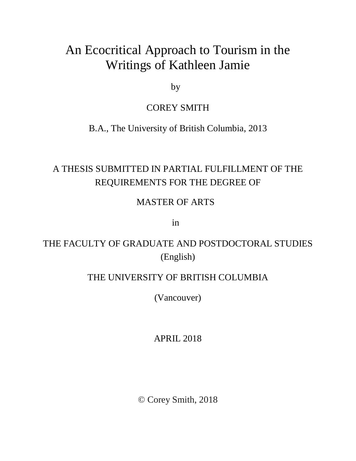# An Ecocritical Approach to Tourism in the Writings of Kathleen Jamie

by

## COREY SMITH

B.A., The University of British Columbia, 2013

# A THESIS SUBMITTED IN PARTIAL FULFILLMENT OF THE REQUIREMENTS FOR THE DEGREE OF

## MASTER OF ARTS

in

## THE FACULTY OF GRADUATE AND POSTDOCTORAL STUDIES (English)

## THE UNIVERSITY OF BRITISH COLUMBIA

(Vancouver)

APRIL 2018

© Corey Smith, 2018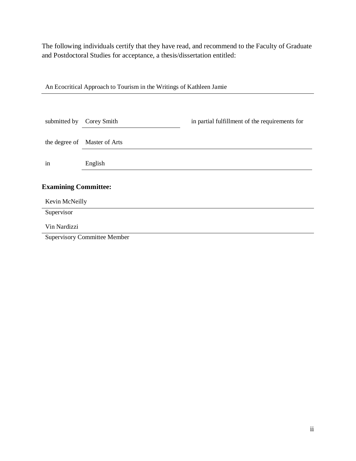The following individuals certify that they have read, and recommend to the Faculty of Graduate and Postdoctoral Studies for acceptance, a thesis/dissertation entitled:

An Ecocritical Approach to Tourism in the Writings of Kathleen Jamie

| submitted by                        | Corey Smith                  | in partial fulfillment of the requirements for |
|-------------------------------------|------------------------------|------------------------------------------------|
|                                     |                              |                                                |
|                                     | the degree of Master of Arts |                                                |
| in                                  | English                      |                                                |
| <b>Examining Committee:</b>         |                              |                                                |
| Kevin McNeilly<br>Supervisor        |                              |                                                |
| Vin Nardizzi                        |                              |                                                |
| <b>Supervisory Committee Member</b> |                              |                                                |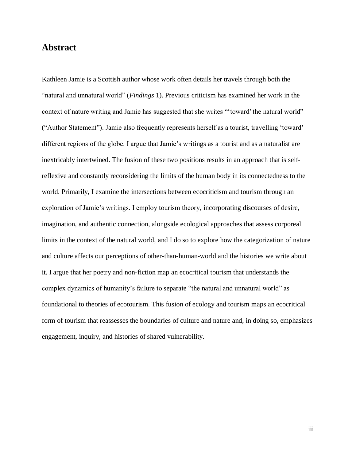### **Abstract**

Kathleen Jamie is a Scottish author whose work often details her travels through both the "natural and unnatural world" (*Findings* 1). Previous criticism has examined her work in the context of nature writing and Jamie has suggested that she writes "'toward' the natural world" ("Author Statement"). Jamie also frequently represents herself as a tourist, travelling 'toward' different regions of the globe. I argue that Jamie's writings as a tourist and as a naturalist are inextricably intertwined. The fusion of these two positions results in an approach that is selfreflexive and constantly reconsidering the limits of the human body in its connectedness to the world. Primarily, I examine the intersections between ecocriticism and tourism through an exploration of Jamie's writings. I employ tourism theory, incorporating discourses of desire, imagination, and authentic connection, alongside ecological approaches that assess corporeal limits in the context of the natural world, and I do so to explore how the categorization of nature and culture affects our perceptions of other-than-human-world and the histories we write about it. I argue that her poetry and non-fiction map an ecocritical tourism that understands the complex dynamics of humanity's failure to separate "the natural and unnatural world" as foundational to theories of ecotourism. This fusion of ecology and tourism maps an ecocritical form of tourism that reassesses the boundaries of culture and nature and, in doing so, emphasizes engagement, inquiry, and histories of shared vulnerability.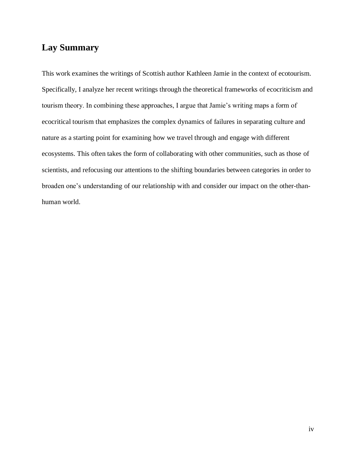### **Lay Summary**

This work examines the writings of Scottish author Kathleen Jamie in the context of ecotourism. Specifically, I analyze her recent writings through the theoretical frameworks of ecocriticism and tourism theory. In combining these approaches, I argue that Jamie's writing maps a form of ecocritical tourism that emphasizes the complex dynamics of failures in separating culture and nature as a starting point for examining how we travel through and engage with different ecosystems. This often takes the form of collaborating with other communities, such as those of scientists, and refocusing our attentions to the shifting boundaries between categories in order to broaden one's understanding of our relationship with and consider our impact on the other-thanhuman world.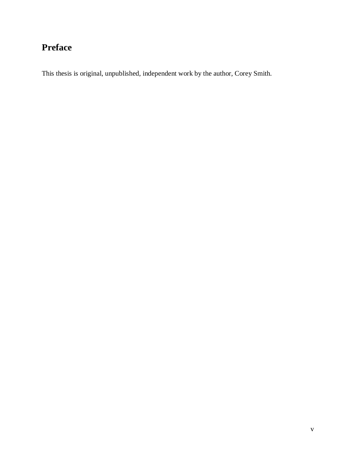# **Preface**

This thesis is original, unpublished, independent work by the author, Corey Smith.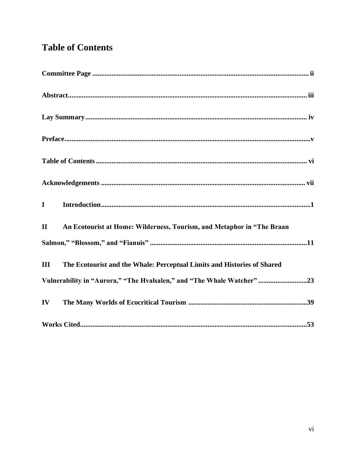# **Table of Contents**

| $\label{eq:1} \textbf{Introduction}\\$<br>$\mathbf I$                                  |
|----------------------------------------------------------------------------------------|
| $\mathbf{I}$<br>An Ecotourist at Home: Wilderness, Tourism, and Metaphor in "The Braan |
|                                                                                        |
| The Ecotourist and the Whale: Perceptual Limits and Histories of Shared<br>III         |
| Vulnerability in "Aurora," "The Hvalsalen," and "The Whale Watcher"23                  |
| $\mathbf{IV}$                                                                          |
|                                                                                        |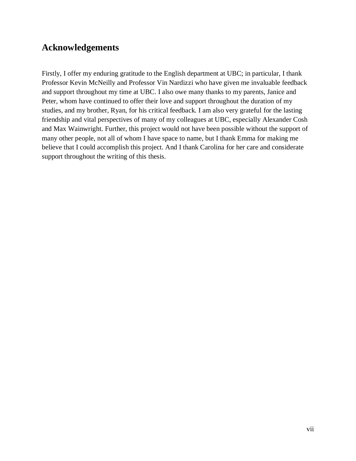## **Acknowledgements**

Firstly, I offer my enduring gratitude to the English department at UBC; in particular, I thank Professor Kevin McNeilly and Professor Vin Nardizzi who have given me invaluable feedback and support throughout my time at UBC. I also owe many thanks to my parents, Janice and Peter, whom have continued to offer their love and support throughout the duration of my studies, and my brother, Ryan, for his critical feedback. I am also very grateful for the lasting friendship and vital perspectives of many of my colleagues at UBC, especially Alexander Cosh and Max Wainwright. Further, this project would not have been possible without the support of many other people, not all of whom I have space to name, but I thank Emma for making me believe that I could accomplish this project. And I thank Carolina for her care and considerate support throughout the writing of this thesis.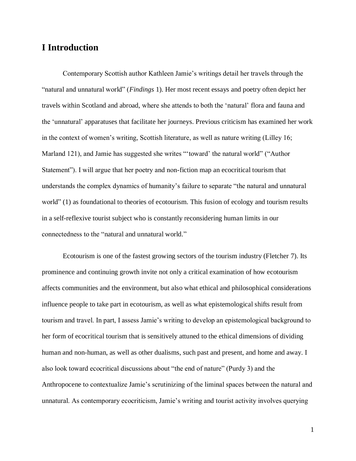### **I Introduction**

Contemporary Scottish author Kathleen Jamie's writings detail her travels through the "natural and unnatural world" (*Findings* 1). Her most recent essays and poetry often depict her travels within Scotland and abroad, where she attends to both the 'natural' flora and fauna and the 'unnatural' apparatuses that facilitate her journeys. Previous criticism has examined her work in the context of women's writing, Scottish literature, as well as nature writing (Lilley 16; Marland 121), and Jamie has suggested she writes "'toward' the natural world" ("Author Statement"). I will argue that her poetry and non-fiction map an ecocritical tourism that understands the complex dynamics of humanity's failure to separate "the natural and unnatural world" (1) as foundational to theories of ecotourism. This fusion of ecology and tourism results in a self-reflexive tourist subject who is constantly reconsidering human limits in our connectedness to the "natural and unnatural world."

Ecotourism is one of the fastest growing sectors of the tourism industry (Fletcher 7). Its prominence and continuing growth invite not only a critical examination of how ecotourism affects communities and the environment, but also what ethical and philosophical considerations influence people to take part in ecotourism, as well as what epistemological shifts result from tourism and travel. In part, I assess Jamie's writing to develop an epistemological background to her form of ecocritical tourism that is sensitively attuned to the ethical dimensions of dividing human and non-human, as well as other dualisms, such past and present, and home and away. I also look toward ecocritical discussions about "the end of nature" (Purdy 3) and the Anthropocene to contextualize Jamie's scrutinizing of the liminal spaces between the natural and unnatural. As contemporary ecocriticism, Jamie's writing and tourist activity involves querying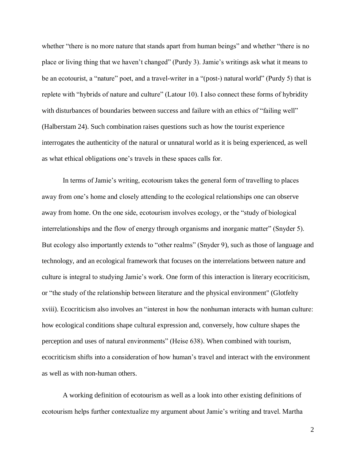whether "there is no more nature that stands apart from human beings" and whether "there is no place or living thing that we haven't changed" (Purdy 3). Jamie's writings ask what it means to be an ecotourist, a "nature" poet, and a travel-writer in a "(post-) natural world" (Purdy 5) that is replete with "hybrids of nature and culture" (Latour 10). I also connect these forms of hybridity with disturbances of boundaries between success and failure with an ethics of "failing well" (Halberstam 24). Such combination raises questions such as how the tourist experience interrogates the authenticity of the natural or unnatural world as it is being experienced, as well as what ethical obligations one's travels in these spaces calls for.

In terms of Jamie's writing, ecotourism takes the general form of travelling to places away from one's home and closely attending to the ecological relationships one can observe away from home. On the one side, ecotourism involves ecology, or the "study of biological interrelationships and the flow of energy through organisms and inorganic matter" (Snyder 5). But ecology also importantly extends to "other realms" (Snyder 9), such as those of language and technology, and an ecological framework that focuses on the interrelations between nature and culture is integral to studying Jamie's work. One form of this interaction is literary ecocriticism, or "the study of the relationship between literature and the physical environment" (Glotfelty xviii). Ecocriticism also involves an "interest in how the nonhuman interacts with human culture: how ecological conditions shape cultural expression and, conversely, how culture shapes the perception and uses of natural environments" (Heise 638). When combined with tourism, ecocriticism shifts into a consideration of how human's travel and interact with the environment as well as with non-human others.

A working definition of ecotourism as well as a look into other existing definitions of ecotourism helps further contextualize my argument about Jamie's writing and travel. Martha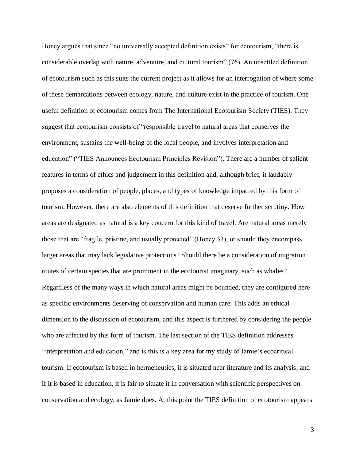Honey argues that since "no universally accepted definition exists" for ecotourism, "there is considerable overlap with nature, adventure, and cultural tourism" (76). An unsettled definition of ecotourism such as this suits the current project as it allows for an interrogation of where some of these demarcations between ecology, nature, and culture exist in the practice of tourism. One useful definition of ecotourism comes from The International Ecotourism Society (TIES). They suggest that ecotourism consists of "responsible travel to natural areas that conserves the environment, sustains the well-being of the local people, and involves interpretation and education" ("TIES Announces Ecotourism Principles Revision"). There are a number of salient features in terms of ethics and judgement in this definition and, although brief, it laudably proposes a consideration of people, places, and types of knowledge impacted by this form of tourism. However, there are also elements of this definition that deserve further scrutiny. How areas are designated as natural is a key concern for this kind of travel. Are natural areas merely those that are "fragile, pristine, and usually protected" (Honey 33), or should they encompass larger areas that may lack legislative protections? Should there be a consideration of migration routes of certain species that are prominent in the ecotourist imaginary, such as whales? Regardless of the many ways in which natural areas might be bounded, they are configured here as specific environments deserving of conservation and human care. This adds an ethical dimension to the discussion of ecotourism, and this aspect is furthered by considering the people who are affected by this form of tourism. The last section of the TIES definition addresses "interpretation and education," and is this is a key area for my study of Jamie's ecocritical tourism. If ecotourism is based in hermeneutics, it is situated near literature and its analysis; and if it is based in education, it is fair to situate it in conversation with scientific perspectives on conservation and ecology, as Jamie does. At this point the TIES definition of ecotourism appears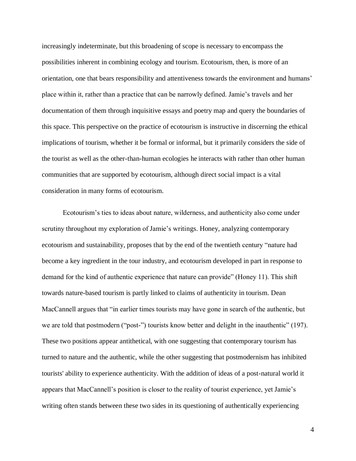increasingly indeterminate, but this broadening of scope is necessary to encompass the possibilities inherent in combining ecology and tourism. Ecotourism, then, is more of an orientation, one that bears responsibility and attentiveness towards the environment and humans' place within it, rather than a practice that can be narrowly defined. Jamie's travels and her documentation of them through inquisitive essays and poetry map and query the boundaries of this space. This perspective on the practice of ecotourism is instructive in discerning the ethical implications of tourism, whether it be formal or informal, but it primarily considers the side of the tourist as well as the other-than-human ecologies he interacts with rather than other human communities that are supported by ecotourism, although direct social impact is a vital consideration in many forms of ecotourism.

Ecotourism's ties to ideas about nature, wilderness, and authenticity also come under scrutiny throughout my exploration of Jamie's writings. Honey, analyzing contemporary ecotourism and sustainability, proposes that by the end of the twentieth century "nature had become a key ingredient in the tour industry, and ecotourism developed in part in response to demand for the kind of authentic experience that nature can provide" (Honey 11). This shift towards nature-based tourism is partly linked to claims of authenticity in tourism. Dean MacCannell argues that "in earlier times tourists may have gone in search of the authentic, but we are told that postmodern ("post-") tourists know better and delight in the inauthentic" (197). These two positions appear antithetical, with one suggesting that contemporary tourism has turned to nature and the authentic, while the other suggesting that postmodernism has inhibited tourists' ability to experience authenticity. With the addition of ideas of a post-natural world it appears that MacCannell's position is closer to the reality of tourist experience, yet Jamie's writing often stands between these two sides in its questioning of authentically experiencing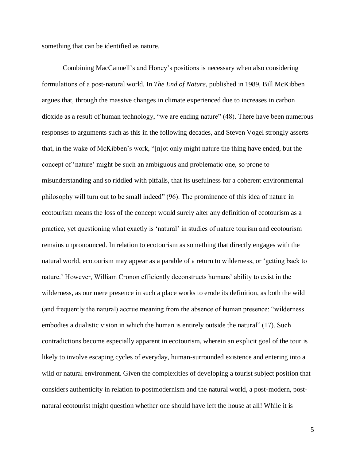something that can be identified as nature.

Combining MacCannell's and Honey's positions is necessary when also considering formulations of a post-natural world. In *The End of Nature*, published in 1989, Bill McKibben argues that, through the massive changes in climate experienced due to increases in carbon dioxide as a result of human technology, "we are ending nature" (48). There have been numerous responses to arguments such as this in the following decades, and Steven Vogel strongly asserts that, in the wake of McKibben's work, "[n]ot only might nature the thing have ended, but the concept of 'nature' might be such an ambiguous and problematic one, so prone to misunderstanding and so riddled with pitfalls, that its usefulness for a coherent environmental philosophy will turn out to be small indeed" (96). The prominence of this idea of nature in ecotourism means the loss of the concept would surely alter any definition of ecotourism as a practice, yet questioning what exactly is 'natural' in studies of nature tourism and ecotourism remains unpronounced. In relation to ecotourism as something that directly engages with the natural world, ecotourism may appear as a parable of a return to wilderness, or 'getting back to nature.' However, William Cronon efficiently deconstructs humans' ability to exist in the wilderness, as our mere presence in such a place works to erode its definition, as both the wild (and frequently the natural) accrue meaning from the absence of human presence: "wilderness embodies a dualistic vision in which the human is entirely outside the natural" (17). Such contradictions become especially apparent in ecotourism, wherein an explicit goal of the tour is likely to involve escaping cycles of everyday, human-surrounded existence and entering into a wild or natural environment. Given the complexities of developing a tourist subject position that considers authenticity in relation to postmodernism and the natural world, a post-modern, postnatural ecotourist might question whether one should have left the house at all! While it is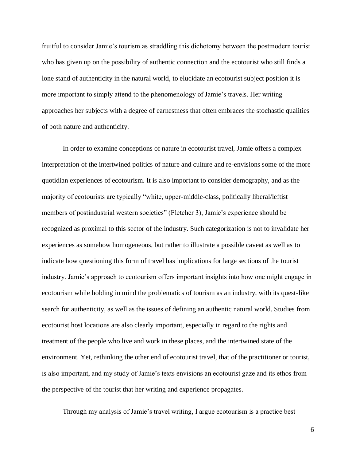fruitful to consider Jamie's tourism as straddling this dichotomy between the postmodern tourist who has given up on the possibility of authentic connection and the ecotourist who still finds a lone stand of authenticity in the natural world, to elucidate an ecotourist subject position it is more important to simply attend to the phenomenology of Jamie's travels. Her writing approaches her subjects with a degree of earnestness that often embraces the stochastic qualities of both nature and authenticity.

In order to examine conceptions of nature in ecotourist travel, Jamie offers a complex interpretation of the intertwined politics of nature and culture and re-envisions some of the more quotidian experiences of ecotourism. It is also important to consider demography, and as the majority of ecotourists are typically "white, upper-middle-class, politically liberal/leftist members of postindustrial western societies" (Fletcher 3), Jamie's experience should be recognized as proximal to this sector of the industry. Such categorization is not to invalidate her experiences as somehow homogeneous, but rather to illustrate a possible caveat as well as to indicate how questioning this form of travel has implications for large sections of the tourist industry. Jamie's approach to ecotourism offers important insights into how one might engage in ecotourism while holding in mind the problematics of tourism as an industry, with its quest-like search for authenticity, as well as the issues of defining an authentic natural world. Studies from ecotourist host locations are also clearly important, especially in regard to the rights and treatment of the people who live and work in these places, and the intertwined state of the environment. Yet, rethinking the other end of ecotourist travel, that of the practitioner or tourist, is also important, and my study of Jamie's texts envisions an ecotourist gaze and its ethos from the perspective of the tourist that her writing and experience propagates.

Through my analysis of Jamie's travel writing, I argue ecotourism is a practice best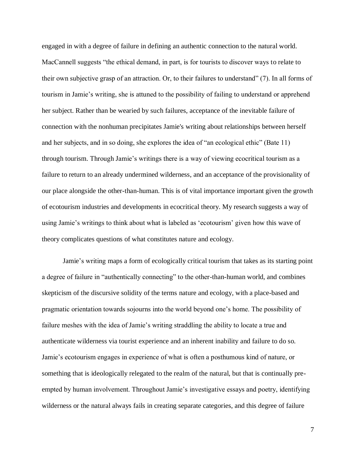engaged in with a degree of failure in defining an authentic connection to the natural world. MacCannell suggests "the ethical demand, in part, is for tourists to discover ways to relate to their own subjective grasp of an attraction. Or, to their failures to understand" (7). In all forms of tourism in Jamie's writing, she is attuned to the possibility of failing to understand or apprehend her subject. Rather than be wearied by such failures, acceptance of the inevitable failure of connection with the nonhuman precipitates Jamie's writing about relationships between herself and her subjects, and in so doing, she explores the idea of "an ecological ethic" (Bate 11) through tourism. Through Jamie's writings there is a way of viewing ecocritical tourism as a failure to return to an already undermined wilderness, and an acceptance of the provisionality of our place alongside the other-than-human. This is of vital importance important given the growth of ecotourism industries and developments in ecocritical theory. My research suggests a way of using Jamie's writings to think about what is labeled as 'ecotourism' given how this wave of theory complicates questions of what constitutes nature and ecology.

Jamie's writing maps a form of ecologically critical tourism that takes as its starting point a degree of failure in "authentically connecting" to the other-than-human world, and combines skepticism of the discursive solidity of the terms nature and ecology, with a place-based and pragmatic orientation towards sojourns into the world beyond one's home. The possibility of failure meshes with the idea of Jamie's writing straddling the ability to locate a true and authenticate wilderness via tourist experience and an inherent inability and failure to do so. Jamie's ecotourism engages in experience of what is often a posthumous kind of nature, or something that is ideologically relegated to the realm of the natural, but that is continually preempted by human involvement. Throughout Jamie's investigative essays and poetry, identifying wilderness or the natural always fails in creating separate categories, and this degree of failure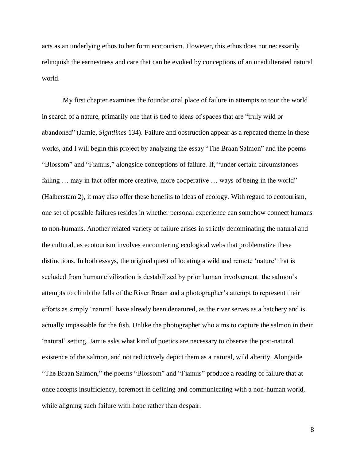acts as an underlying ethos to her form ecotourism. However, this ethos does not necessarily relinquish the earnestness and care that can be evoked by conceptions of an unadulterated natural world.

My first chapter examines the foundational place of failure in attempts to tour the world in search of a nature, primarily one that is tied to ideas of spaces that are "truly wild or abandoned" (Jamie, *Sightlines* 134). Failure and obstruction appear as a repeated theme in these works, and I will begin this project by analyzing the essay "The Braan Salmon" and the poems "Blossom" and "Fianuis," alongside conceptions of failure. If, "under certain circumstances failing ... may in fact offer more creative, more cooperative ... ways of being in the world" (Halberstam 2), it may also offer these benefits to ideas of ecology. With regard to ecotourism, one set of possible failures resides in whether personal experience can somehow connect humans to non-humans. Another related variety of failure arises in strictly denominating the natural and the cultural, as ecotourism involves encountering ecological webs that problematize these distinctions. In both essays, the original quest of locating a wild and remote 'nature' that is secluded from human civilization is destabilized by prior human involvement: the salmon's attempts to climb the falls of the River Braan and a photographer's attempt to represent their efforts as simply 'natural' have already been denatured, as the river serves as a hatchery and is actually impassable for the fish. Unlike the photographer who aims to capture the salmon in their 'natural' setting, Jamie asks what kind of poetics are necessary to observe the post-natural existence of the salmon, and not reductively depict them as a natural, wild alterity. Alongside "The Braan Salmon," the poems "Blossom" and "Fianuis" produce a reading of failure that at once accepts insufficiency, foremost in defining and communicating with a non-human world, while aligning such failure with hope rather than despair.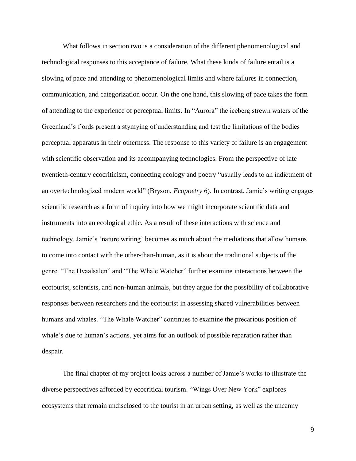What follows in section two is a consideration of the different phenomenological and technological responses to this acceptance of failure. What these kinds of failure entail is a slowing of pace and attending to phenomenological limits and where failures in connection, communication, and categorization occur. On the one hand, this slowing of pace takes the form of attending to the experience of perceptual limits*.* In "Aurora" the iceberg strewn waters of the Greenland's fjords present a stymying of understanding and test the limitations of the bodies perceptual apparatus in their otherness. The response to this variety of failure is an engagement with scientific observation and its accompanying technologies. From the perspective of late twentieth-century ecocriticism, connecting ecology and poetry "usually leads to an indictment of an overtechnologized modern world" (Bryson, *Ecopoetry* 6). In contrast, Jamie's writing engages scientific research as a form of inquiry into how we might incorporate scientific data and instruments into an ecological ethic. As a result of these interactions with science and technology, Jamie's 'nature writing' becomes as much about the mediations that allow humans to come into contact with the other-than-human, as it is about the traditional subjects of the genre. "The Hvaalsalen" and "The Whale Watcher" further examine interactions between the ecotourist, scientists, and non-human animals, but they argue for the possibility of collaborative responses between researchers and the ecotourist in assessing shared vulnerabilities between humans and whales. "The Whale Watcher" continues to examine the precarious position of whale's due to human's actions, yet aims for an outlook of possible reparation rather than despair.

The final chapter of my project looks across a number of Jamie's works to illustrate the diverse perspectives afforded by ecocritical tourism. "Wings Over New York" explores ecosystems that remain undisclosed to the tourist in an urban setting, as well as the uncanny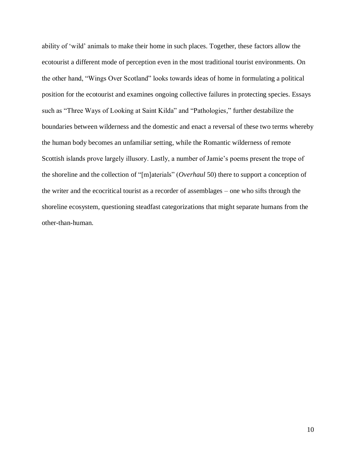ability of 'wild' animals to make their home in such places. Together, these factors allow the ecotourist a different mode of perception even in the most traditional tourist environments. On the other hand, "Wings Over Scotland" looks towards ideas of home in formulating a political position for the ecotourist and examines ongoing collective failures in protecting species. Essays such as "Three Ways of Looking at Saint Kilda" and "Pathologies," further destabilize the boundaries between wilderness and the domestic and enact a reversal of these two terms whereby the human body becomes an unfamiliar setting, while the Romantic wilderness of remote Scottish islands prove largely illusory. Lastly, a number of Jamie's poems present the trope of the shoreline and the collection of "[m]aterials" (*Overhaul* 50) there to support a conception of the writer and the ecocritical tourist as a recorder of assemblages – one who sifts through the shoreline ecosystem, questioning steadfast categorizations that might separate humans from the other-than-human.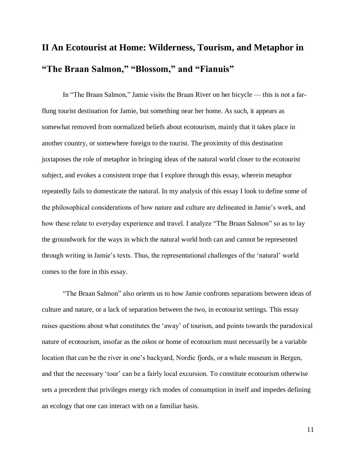# **II An Ecotourist at Home: Wilderness, Tourism, and Metaphor in "The Braan Salmon," "Blossom," and "Fianuis"**

In "The Braan Salmon," Jamie visits the Braan River on her bicycle — this is not a farflung tourist destination for Jamie, but something near her home. As such, it appears as somewhat removed from normalized beliefs about ecotourism, mainly that it takes place in another country, or somewhere foreign to the tourist. The proximity of this destination juxtaposes the role of metaphor in bringing ideas of the natural world closer to the ecotourist subject, and evokes a consistent trope that I explore through this essay, wherein metaphor repeatedly fails to domesticate the natural. In my analysis of this essay I look to define some of the philosophical considerations of how nature and culture are delineated in Jamie's work, and how these relate to everyday experience and travel. I analyze "The Braan Salmon" so as to lay the groundwork for the ways in which the natural world both can and cannot be represented through writing in Jamie's texts. Thus, the representational challenges of the 'natural' world comes to the fore in this essay.

"The Braan Salmon" also orients us to how Jamie confronts separations between ideas of culture and nature, or a lack of separation between the two, in ecotourist settings. This essay raises questions about what constitutes the 'away' of tourism, and points towards the paradoxical nature of ecotourism, insofar as the *oikos* or home of ecotourism must necessarily be a variable location that can be the river in one's backyard, Nordic fjords, or a whale museum in Bergen, and that the necessary 'tour' can be a fairly local excursion. To constitute ecotourism otherwise sets a precedent that privileges energy rich modes of consumption in itself and impedes defining an ecology that one can interact with on a familiar basis.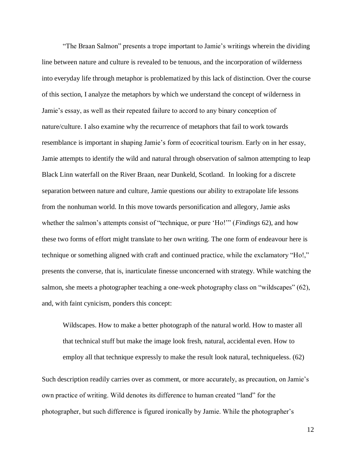"The Braan Salmon" presents a trope important to Jamie's writings wherein the dividing line between nature and culture is revealed to be tenuous, and the incorporation of wilderness into everyday life through metaphor is problematized by this lack of distinction. Over the course of this section, I analyze the metaphors by which we understand the concept of wilderness in Jamie's essay, as well as their repeated failure to accord to any binary conception of nature/culture. I also examine why the recurrence of metaphors that fail to work towards resemblance is important in shaping Jamie's form of ecocritical tourism. Early on in her essay, Jamie attempts to identify the wild and natural through observation of salmon attempting to leap Black Linn waterfall on the River Braan, near Dunkeld, Scotland. In looking for a discrete separation between nature and culture, Jamie questions our ability to extrapolate life lessons from the nonhuman world. In this move towards personification and allegory, Jamie asks whether the salmon's attempts consist of "technique, or pure 'Ho!'" (*Findings* 62), and how these two forms of effort might translate to her own writing. The one form of endeavour here is technique or something aligned with craft and continued practice, while the exclamatory "Ho!," presents the converse, that is, inarticulate finesse unconcerned with strategy. While watching the salmon, she meets a photographer teaching a one-week photography class on "wildscapes" (62), and, with faint cynicism, ponders this concept:

Wildscapes. How to make a better photograph of the natural world. How to master all that technical stuff but make the image look fresh, natural, accidental even. How to employ all that technique expressly to make the result look natural, techniqueless. (62)

Such description readily carries over as comment, or more accurately, as precaution, on Jamie's own practice of writing. Wild denotes its difference to human created "land" for the photographer, but such difference is figured ironically by Jamie. While the photographer's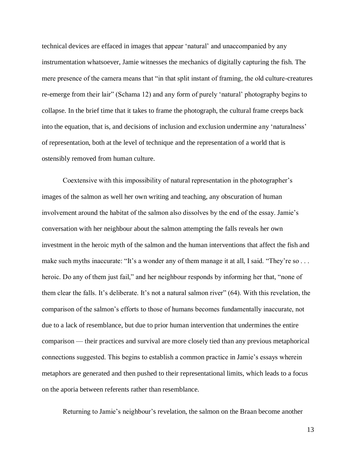technical devices are effaced in images that appear 'natural' and unaccompanied by any instrumentation whatsoever, Jamie witnesses the mechanics of digitally capturing the fish. The mere presence of the camera means that "in that split instant of framing, the old culture-creatures re-emerge from their lair" (Schama 12) and any form of purely 'natural' photography begins to collapse. In the brief time that it takes to frame the photograph, the cultural frame creeps back into the equation, that is, and decisions of inclusion and exclusion undermine any 'naturalness' of representation, both at the level of technique and the representation of a world that is ostensibly removed from human culture.

Coextensive with this impossibility of natural representation in the photographer's images of the salmon as well her own writing and teaching, any obscuration of human involvement around the habitat of the salmon also dissolves by the end of the essay. Jamie's conversation with her neighbour about the salmon attempting the falls reveals her own investment in the heroic myth of the salmon and the human interventions that affect the fish and make such myths inaccurate: "It's a wonder any of them manage it at all, I said. "They're so . . . heroic. Do any of them just fail," and her neighbour responds by informing her that, "none of them clear the falls. It's deliberate. It's not a natural salmon river" (64). With this revelation, the comparison of the salmon's efforts to those of humans becomes fundamentally inaccurate, not due to a lack of resemblance, but due to prior human intervention that undermines the entire comparison — their practices and survival are more closely tied than any previous metaphorical connections suggested. This begins to establish a common practice in Jamie's essays wherein metaphors are generated and then pushed to their representational limits, which leads to a focus on the aporia between referents rather than resemblance.

Returning to Jamie's neighbour's revelation, the salmon on the Braan become another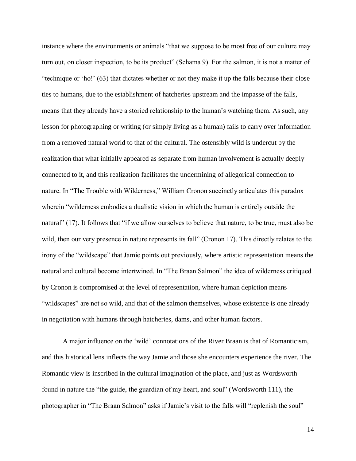instance where the environments or animals "that we suppose to be most free of our culture may turn out, on closer inspection, to be its product" (Schama 9). For the salmon, it is not a matter of "technique or 'ho!' (63) that dictates whether or not they make it up the falls because their close ties to humans, due to the establishment of hatcheries upstream and the impasse of the falls, means that they already have a storied relationship to the human's watching them. As such, any lesson for photographing or writing (or simply living as a human) fails to carry over information from a removed natural world to that of the cultural. The ostensibly wild is undercut by the realization that what initially appeared as separate from human involvement is actually deeply connected to it, and this realization facilitates the undermining of allegorical connection to nature. In "The Trouble with Wilderness," William Cronon succinctly articulates this paradox wherein "wilderness embodies a dualistic vision in which the human is entirely outside the natural" (17). It follows that "if we allow ourselves to believe that nature, to be true, must also be wild, then our very presence in nature represents its fall" (Cronon 17). This directly relates to the irony of the "wildscape" that Jamie points out previously, where artistic representation means the natural and cultural become intertwined. In "The Braan Salmon" the idea of wilderness critiqued by Cronon is compromised at the level of representation, where human depiction means "wildscapes" are not so wild, and that of the salmon themselves, whose existence is one already in negotiation with humans through hatcheries, dams, and other human factors.

A major influence on the 'wild' connotations of the River Braan is that of Romanticism, and this historical lens inflects the way Jamie and those she encounters experience the river. The Romantic view is inscribed in the cultural imagination of the place, and just as Wordsworth found in nature the "the guide, the guardian of my heart, and soul" (Wordsworth 111), the photographer in "The Braan Salmon" asks if Jamie's visit to the falls will "replenish the soul"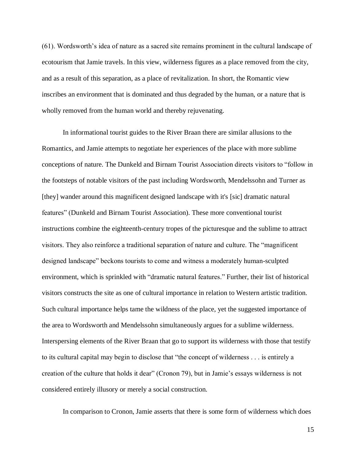(61). Wordsworth's idea of nature as a sacred site remains prominent in the cultural landscape of ecotourism that Jamie travels. In this view, wilderness figures as a place removed from the city, and as a result of this separation, as a place of revitalization. In short, the Romantic view inscribes an environment that is dominated and thus degraded by the human, or a nature that is wholly removed from the human world and thereby rejuvenating.

In informational tourist guides to the River Braan there are similar allusions to the Romantics, and Jamie attempts to negotiate her experiences of the place with more sublime conceptions of nature. The Dunkeld and Birnam Tourist Association directs visitors to "follow in the footsteps of notable visitors of the past including Wordsworth, Mendelssohn and Turner as [they] wander around this magnificent designed landscape with it's [sic] dramatic natural features" (Dunkeld and Birnam Tourist Association). These more conventional tourist instructions combine the eighteenth-century tropes of the picturesque and the sublime to attract visitors. They also reinforce a traditional separation of nature and culture. The "magnificent designed landscape" beckons tourists to come and witness a moderately human-sculpted environment, which is sprinkled with "dramatic natural features." Further, their list of historical visitors constructs the site as one of cultural importance in relation to Western artistic tradition. Such cultural importance helps tame the wildness of the place, yet the suggested importance of the area to Wordsworth and Mendelssohn simultaneously argues for a sublime wilderness. Interspersing elements of the River Braan that go to support its wilderness with those that testify to its cultural capital may begin to disclose that "the concept of wilderness . . . is entirely a creation of the culture that holds it dear" (Cronon 79), but in Jamie's essays wilderness is not considered entirely illusory or merely a social construction.

In comparison to Cronon, Jamie asserts that there is some form of wilderness which does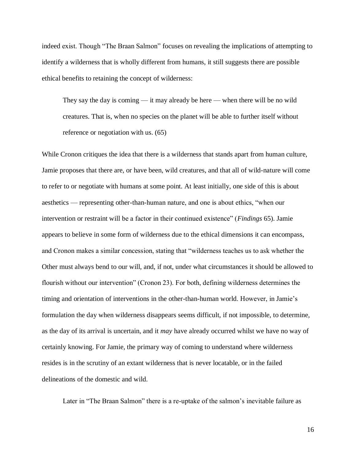indeed exist. Though "The Braan Salmon" focuses on revealing the implications of attempting to identify a wilderness that is wholly different from humans, it still suggests there are possible ethical benefits to retaining the concept of wilderness:

They say the day is coming — it may already be here — when there will be no wild creatures. That is, when no species on the planet will be able to further itself without reference or negotiation with us. (65)

While Cronon critiques the idea that there is a wilderness that stands apart from human culture, Jamie proposes that there are, or have been, wild creatures, and that all of wild-nature will come to refer to or negotiate with humans at some point. At least initially, one side of this is about aesthetics — representing other-than-human nature, and one is about ethics, "when our intervention or restraint will be a factor in their continued existence" (*Findings* 65). Jamie appears to believe in some form of wilderness due to the ethical dimensions it can encompass, and Cronon makes a similar concession, stating that "wilderness teaches us to ask whether the Other must always bend to our will, and, if not, under what circumstances it should be allowed to flourish without our intervention" (Cronon 23). For both, defining wilderness determines the timing and orientation of interventions in the other-than-human world. However, in Jamie's formulation the day when wilderness disappears seems difficult, if not impossible, to determine, as the day of its arrival is uncertain, and it *may* have already occurred whilst we have no way of certainly knowing. For Jamie, the primary way of coming to understand where wilderness resides is in the scrutiny of an extant wilderness that is never locatable, or in the failed delineations of the domestic and wild.

Later in "The Braan Salmon" there is a re-uptake of the salmon's inevitable failure as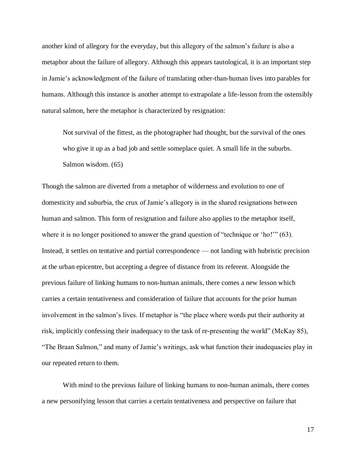another kind of allegory for the everyday, but this allegory of the salmon's failure is also a metaphor about the failure of allegory. Although this appears tautological, it is an important step in Jamie's acknowledgment of the failure of translating other-than-human lives into parables for humans. Although this instance is another attempt to extrapolate a life-lesson from the ostensibly natural salmon, here the metaphor is characterized by resignation:

Not survival of the fittest, as the photographer had thought, but the survival of the ones who give it up as a bad job and settle someplace quiet. A small life in the suburbs. Salmon wisdom. (65)

Though the salmon are diverted from a metaphor of wilderness and evolution to one of domesticity and suburbia, the crux of Jamie's allegory is in the shared resignations between human and salmon. This form of resignation and failure also applies to the metaphor itself, where it is no longer positioned to answer the grand question of "technique or 'ho!'" (63). Instead, it settles on tentative and partial correspondence — not landing with hubristic precision at the urban epicentre, but accepting a degree of distance from its referent. Alongside the previous failure of linking humans to non-human animals, there comes a new lesson which carries a certain tentativeness and consideration of failure that accounts for the prior human involvement in the salmon's lives. If metaphor is "the place where words put their authority at risk, implicitly confessing their inadequacy to the task of re-presenting the world" (McKay 85), "The Braan Salmon," and many of Jamie's writings, ask what function their inadequacies play in our repeated return to them.

With mind to the previous failure of linking humans to non-human animals, there comes a new personifying lesson that carries a certain tentativeness and perspective on failure that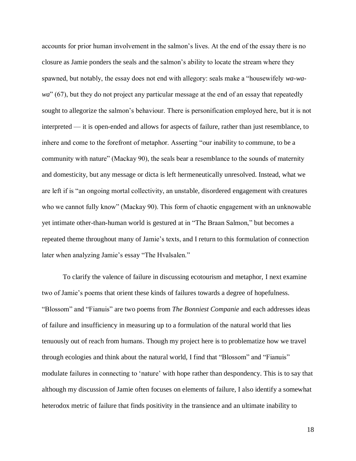accounts for prior human involvement in the salmon's lives. At the end of the essay there is no closure as Jamie ponders the seals and the salmon's ability to locate the stream where they spawned, but notably, the essay does not end with allegory: seals make a "housewifely *wa-wawa*" (67), but they do not project any particular message at the end of an essay that repeatedly sought to allegorize the salmon's behaviour. There is personification employed here, but it is not interpreted — it is open-ended and allows for aspects of failure, rather than just resemblance, to inhere and come to the forefront of metaphor. Asserting "our inability to commune, to be a community with nature" (Mackay 90), the seals bear a resemblance to the sounds of maternity and domesticity, but any message or dicta is left hermeneutically unresolved. Instead, what we are left if is "an ongoing mortal collectivity, an unstable, disordered engagement with creatures who we cannot fully know" (Mackay 90). This form of chaotic engagement with an unknowable yet intimate other-than-human world is gestured at in "The Braan Salmon," but becomes a repeated theme throughout many of Jamie's texts, and I return to this formulation of connection later when analyzing Jamie's essay "The Hvalsalen."

To clarify the valence of failure in discussing ecotourism and metaphor, I next examine two of Jamie's poems that orient these kinds of failures towards a degree of hopefulness. "Blossom" and "Fianuis" are two poems from *The Bonniest Companie* and each addresses ideas of failure and insufficiency in measuring up to a formulation of the natural world that lies tenuously out of reach from humans. Though my project here is to problematize how we travel through ecologies and think about the natural world, I find that "Blossom" and "Fianuis" modulate failures in connecting to 'nature' with hope rather than despondency. This is to say that although my discussion of Jamie often focuses on elements of failure, I also identify a somewhat heterodox metric of failure that finds positivity in the transience and an ultimate inability to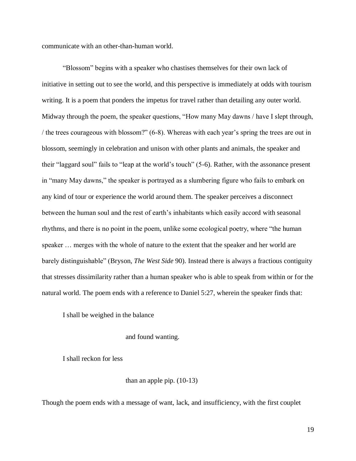communicate with an other-than-human world.

"Blossom" begins with a speaker who chastises themselves for their own lack of initiative in setting out to see the world, and this perspective is immediately at odds with tourism writing. It is a poem that ponders the impetus for travel rather than detailing any outer world. Midway through the poem, the speaker questions, "How many May dawns / have I slept through, / the trees courageous with blossom?" (6-8). Whereas with each year's spring the trees are out in blossom, seemingly in celebration and unison with other plants and animals, the speaker and their "laggard soul" fails to "leap at the world's touch" (5-6). Rather, with the assonance present in "many May dawns," the speaker is portrayed as a slumbering figure who fails to embark on any kind of tour or experience the world around them. The speaker perceives a disconnect between the human soul and the rest of earth's inhabitants which easily accord with seasonal rhythms, and there is no point in the poem, unlike some ecological poetry, where "the human speaker … merges with the whole of nature to the extent that the speaker and her world are barely distinguishable" (Bryson, *The West Side* 90). Instead there is always a fractious contiguity that stresses dissimilarity rather than a human speaker who is able to speak from within or for the natural world. The poem ends with a reference to Daniel 5:27, wherein the speaker finds that:

I shall be weighed in the balance

### and found wanting.

I shall reckon for less

### than an apple pip. (10-13)

Though the poem ends with a message of want, lack, and insufficiency, with the first couplet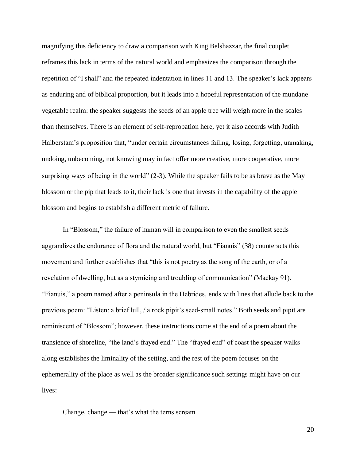magnifying this deficiency to draw a comparison with King Belshazzar, the final couplet reframes this lack in terms of the natural world and emphasizes the comparison through the repetition of "I shall" and the repeated indentation in lines 11 and 13. The speaker's lack appears as enduring and of biblical proportion, but it leads into a hopeful representation of the mundane vegetable realm: the speaker suggests the seeds of an apple tree will weigh more in the scales than themselves. There is an element of self-reprobation here, yet it also accords with Judith Halberstam's proposition that, "under certain circumstances failing, losing, forgetting, unmaking, undoing, unbecoming, not knowing may in fact offer more creative, more cooperative, more surprising ways of being in the world" (2-3). While the speaker fails to be as brave as the May blossom or the pip that leads to it, their lack is one that invests in the capability of the apple blossom and begins to establish a different metric of failure.

In "Blossom," the failure of human will in comparison to even the smallest seeds aggrandizes the endurance of flora and the natural world, but "Fianuis" (38) counteracts this movement and further establishes that "this is not poetry as the song of the earth, or of a revelation of dwelling, but as a stymieing and troubling of communication" (Mackay 91). "Fianuis," a poem named after a peninsula in the Hebrides, ends with lines that allude back to the previous poem: "Listen: a brief lull, / a rock pipit's seed-small notes." Both seeds and pipit are reminiscent of "Blossom"; however, these instructions come at the end of a poem about the transience of shoreline, "the land's frayed end." The "frayed end" of coast the speaker walks along establishes the liminality of the setting, and the rest of the poem focuses on the ephemerality of the place as well as the broader significance such settings might have on our lives:

Change, change — that's what the terns scream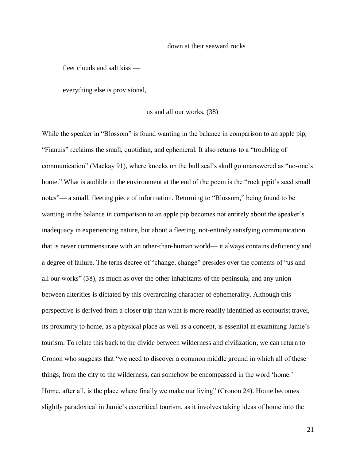#### down at their seaward rocks

fleet clouds and salt kiss —

everything else is provisional,

#### us and all our works. (38)

While the speaker in "Blossom" is found wanting in the balance in comparison to an apple pip, "Fianuis" reclaims the small, quotidian, and ephemeral. It also returns to a "troubling of communication" (Mackay 91), where knocks on the bull seal's skull go unanswered as "no-one's home." What is audible in the environment at the end of the poem is the "rock pipit's seed small notes"— a small, fleeting piece of information. Returning to "Blossom," being found to be wanting in the balance in comparison to an apple pip becomes not entirely about the speaker's inadequacy in experiencing nature, but about a fleeting, not-entirely satisfying communication that is never commensurate with an other-than-human world— it always contains deficiency and a degree of failure. The terns decree of "change, change" presides over the contents of "us and all our works" (38), as much as over the other inhabitants of the peninsula, and any union between alterities is dictated by this overarching character of ephemerality. Although this perspective is derived from a closer trip than what is more readily identified as ecotourist travel, its proximity to home, as a physical place as well as a concept, is essential in examining Jamie's tourism. To relate this back to the divide between wilderness and civilization, we can return to Cronon who suggests that "we need to discover a common middle ground in which all of these things, from the city to the wilderness, can somehow be encompassed in the word 'home.' Home, after all, is the place where finally we make our living" (Cronon 24). Home becomes slightly paradoxical in Jamie's ecocritical tourism, as it involves taking ideas of home into the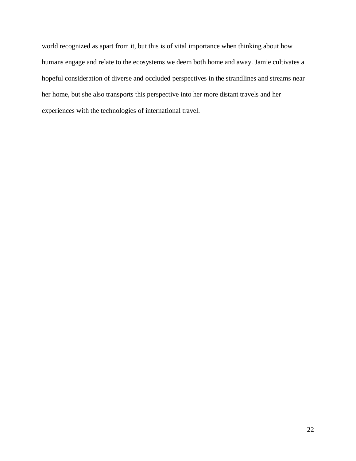world recognized as apart from it, but this is of vital importance when thinking about how humans engage and relate to the ecosystems we deem both home and away. Jamie cultivates a hopeful consideration of diverse and occluded perspectives in the strandlines and streams near her home, but she also transports this perspective into her more distant travels and her experiences with the technologies of international travel.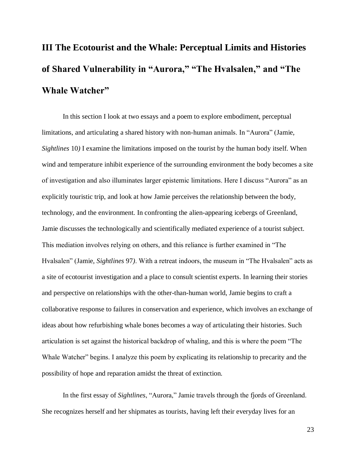# **III The Ecotourist and the Whale: Perceptual Limits and Histories of Shared Vulnerability in "Aurora," "The Hvalsalen," and "The Whale Watcher"**

In this section I look at two essays and a poem to explore embodiment, perceptual limitations, and articulating a shared history with non-human animals. In "Aurora" (Jamie, *Sightlines* 10*)* I examine the limitations imposed on the tourist by the human body itself. When wind and temperature inhibit experience of the surrounding environment the body becomes a site of investigation and also illuminates larger epistemic limitations. Here I discuss "Aurora" as an explicitly touristic trip, and look at how Jamie perceives the relationship between the body, technology, and the environment. In confronting the alien-appearing icebergs of Greenland, Jamie discusses the technologically and scientifically mediated experience of a tourist subject. This mediation involves relying on others, and this reliance is further examined in "The Hvalsalen" (Jamie, *Sightlines* 97*)*. With a retreat indoors, the museum in "The Hvalsalen" acts as a site of ecotourist investigation and a place to consult scientist experts. In learning their stories and perspective on relationships with the other-than-human world, Jamie begins to craft a collaborative response to failures in conservation and experience, which involves an exchange of ideas about how refurbishing whale bones becomes a way of articulating their histories. Such articulation is set against the historical backdrop of whaling, and this is where the poem "The Whale Watcher" begins. I analyze this poem by explicating its relationship to precarity and the possibility of hope and reparation amidst the threat of extinction.

In the first essay of *Sightlines*, "Aurora," Jamie travels through the fjords of Greenland. She recognizes herself and her shipmates as tourists, having left their everyday lives for an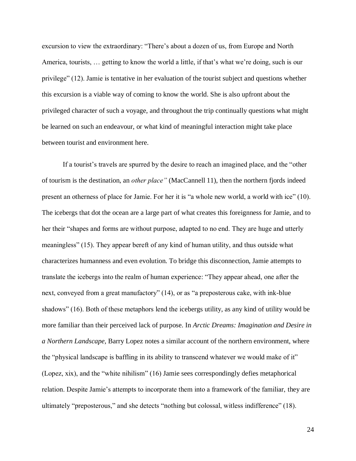excursion to view the extraordinary: "There's about a dozen of us, from Europe and North America, tourists, … getting to know the world a little, if that's what we're doing, such is our privilege" (12). Jamie is tentative in her evaluation of the tourist subject and questions whether this excursion is a viable way of coming to know the world. She is also upfront about the privileged character of such a voyage, and throughout the trip continually questions what might be learned on such an endeavour, or what kind of meaningful interaction might take place between tourist and environment here.

If a tourist's travels are spurred by the desire to reach an imagined place, and the "other of tourism is the destination, an *other place"* (MacCannell 11), then the northern fjords indeed present an otherness of place for Jamie. For her it is "a whole new world, a world with ice" (10). The icebergs that dot the ocean are a large part of what creates this foreignness for Jamie, and to her their "shapes and forms are without purpose, adapted to no end. They are huge and utterly meaningless" (15). They appear bereft of any kind of human utility, and thus outside what characterizes humanness and even evolution. To bridge this disconnection, Jamie attempts to translate the icebergs into the realm of human experience: "They appear ahead, one after the next, conveyed from a great manufactory" (14), or as "a preposterous cake, with ink-blue shadows" (16). Both of these metaphors lend the icebergs utility, as any kind of utility would be more familiar than their perceived lack of purpose. In *Arctic Dreams: Imagination and Desire in a Northern Landscape,* Barry Lopez notes a similar account of the northern environment, where the "physical landscape is baffling in its ability to transcend whatever we would make of it" (Lopez, xix), and the "white nihilism" (16) Jamie sees correspondingly defies metaphorical relation. Despite Jamie's attempts to incorporate them into a framework of the familiar, they are ultimately "preposterous," and she detects "nothing but colossal, witless indifference" (18).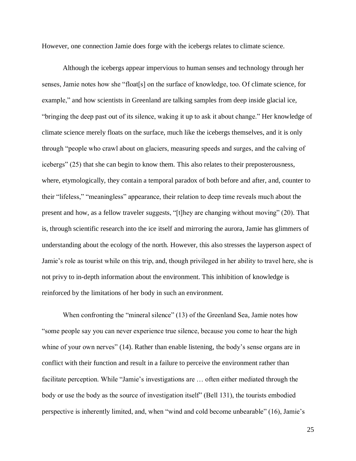However, one connection Jamie does forge with the icebergs relates to climate science.

Although the icebergs appear impervious to human senses and technology through her senses, Jamie notes how she "float[s] on the surface of knowledge, too. Of climate science, for example," and how scientists in Greenland are talking samples from deep inside glacial ice, "bringing the deep past out of its silence, waking it up to ask it about change." Her knowledge of climate science merely floats on the surface, much like the icebergs themselves, and it is only through "people who crawl about on glaciers, measuring speeds and surges, and the calving of icebergs" (25) that she can begin to know them. This also relates to their preposterousness, where, etymologically, they contain a temporal paradox of both before and after, and, counter to their "lifeless," "meaningless" appearance, their relation to deep time reveals much about the present and how, as a fellow traveler suggests, "[t]hey are changing without moving" (20). That is, through scientific research into the ice itself and mirroring the aurora, Jamie has glimmers of understanding about the ecology of the north. However, this also stresses the layperson aspect of Jamie's role as tourist while on this trip, and, though privileged in her ability to travel here, she is not privy to in-depth information about the environment. This inhibition of knowledge is reinforced by the limitations of her body in such an environment.

When confronting the "mineral silence" (13) of the Greenland Sea, Jamie notes how "some people say you can never experience true silence, because you come to hear the high whine of your own nerves" (14). Rather than enable listening, the body's sense organs are in conflict with their function and result in a failure to perceive the environment rather than facilitate perception. While "Jamie's investigations are … often either mediated through the body or use the body as the source of investigation itself" (Bell 131), the tourists embodied perspective is inherently limited, and, when "wind and cold become unbearable" (16), Jamie's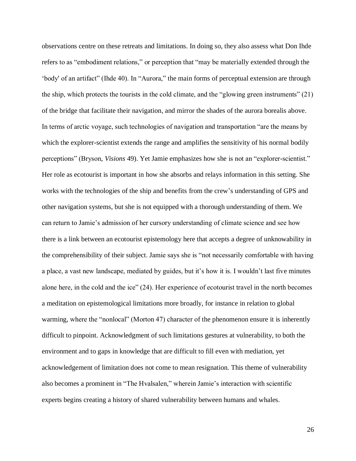observations centre on these retreats and limitations. In doing so, they also assess what Don Ihde refers to as "embodiment relations," or perception that "may be materially extended through the 'body' of an artifact" (Ihde 40). In "Aurora," the main forms of perceptual extension are through the ship, which protects the tourists in the cold climate, and the "glowing green instruments" (21) of the bridge that facilitate their navigation, and mirror the shades of the aurora borealis above. In terms of arctic voyage, such technologies of navigation and transportation "are the means by which the explorer-scientist extends the range and amplifies the sensitivity of his normal bodily perceptions" (Bryson, *Visions* 49). Yet Jamie emphasizes how she is not an "explorer-scientist." Her role as ecotourist is important in how she absorbs and relays information in this setting. She works with the technologies of the ship and benefits from the crew's understanding of GPS and other navigation systems, but she is not equipped with a thorough understanding of them. We can return to Jamie's admission of her cursory understanding of climate science and see how there is a link between an ecotourist epistemology here that accepts a degree of unknowability in the comprehensibility of their subject. Jamie says she is "not necessarily comfortable with having a place, a vast new landscape, mediated by guides, but it's how it is. I wouldn't last five minutes alone here, in the cold and the ice" (24). Her experience of ecotourist travel in the north becomes a meditation on epistemological limitations more broadly, for instance in relation to global warming, where the "nonlocal" (Morton 47) character of the phenomenon ensure it is inherently difficult to pinpoint. Acknowledgment of such limitations gestures at vulnerability, to both the environment and to gaps in knowledge that are difficult to fill even with mediation, yet acknowledgement of limitation does not come to mean resignation. This theme of vulnerability also becomes a prominent in "The Hvalsalen," wherein Jamie's interaction with scientific experts begins creating a history of shared vulnerability between humans and whales.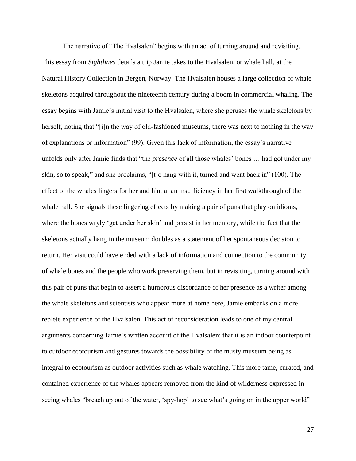The narrative of "The Hvalsalen" begins with an act of turning around and revisiting. This essay from *Sightlines* details a trip Jamie takes to the Hvalsalen, or whale hall, at the Natural History Collection in Bergen, Norway. The Hvalsalen houses a large collection of whale skeletons acquired throughout the nineteenth century during a boom in commercial whaling. The essay begins with Jamie's initial visit to the Hvalsalen, where she peruses the whale skeletons by herself, noting that "[i]n the way of old-fashioned museums, there was next to nothing in the way of explanations or information" (99). Given this lack of information, the essay's narrative unfolds only after Jamie finds that "the *presence* of all those whales' bones … had got under my skin, so to speak," and she proclaims, "[t]o hang with it, turned and went back in" (100). The effect of the whales lingers for her and hint at an insufficiency in her first walkthrough of the whale hall. She signals these lingering effects by making a pair of puns that play on idioms, where the bones wryly 'get under her skin' and persist in her memory, while the fact that the skeletons actually hang in the museum doubles as a statement of her spontaneous decision to return. Her visit could have ended with a lack of information and connection to the community of whale bones and the people who work preserving them, but in revisiting, turning around with this pair of puns that begin to assert a humorous discordance of her presence as a writer among the whale skeletons and scientists who appear more at home here, Jamie embarks on a more replete experience of the Hvalsalen. This act of reconsideration leads to one of my central arguments concerning Jamie's written account of the Hvalsalen: that it is an indoor counterpoint to outdoor ecotourism and gestures towards the possibility of the musty museum being as integral to ecotourism as outdoor activities such as whale watching. This more tame, curated, and contained experience of the whales appears removed from the kind of wilderness expressed in seeing whales "breach up out of the water, 'spy-hop' to see what's going on in the upper world"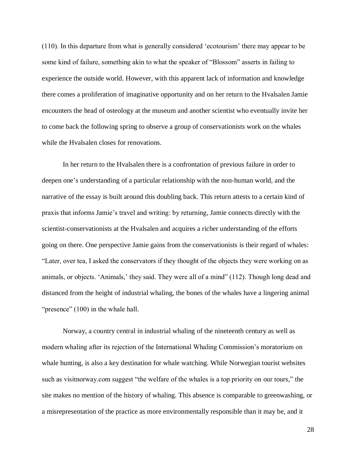(110). In this departure from what is generally considered 'ecotourism' there may appear to be some kind of failure, something akin to what the speaker of "Blossom" asserts in failing to experience the outside world. However, with this apparent lack of information and knowledge there comes a proliferation of imaginative opportunity and on her return to the Hvalsalen Jamie encounters the head of osteology at the museum and another scientist who eventually invite her to come back the following spring to observe a group of conservationists work on the whales while the Hvalsalen closes for renovations.

In her return to the Hvalsalen there is a confrontation of previous failure in order to deepen one's understanding of a particular relationship with the non-human world, and the narrative of the essay is built around this doubling back. This return attests to a certain kind of praxis that informs Jamie's travel and writing: by returning, Jamie connects directly with the scientist-conservationists at the Hvalsalen and acquires a richer understanding of the efforts going on there. One perspective Jamie gains from the conservationists is their regard of whales: "Later, over tea, I asked the conservators if they thought of the objects they were working on as animals, or objects. 'Animals,' they said. They were all of a mind" (112). Though long dead and distanced from the height of industrial whaling, the bones of the whales have a lingering animal "presence" (100) in the whale hall.

Norway, a country central in industrial whaling of the nineteenth century as well as modern whaling after its rejection of the International Whaling Commission's moratorium on whale hunting, is also a key destination for whale watching. While Norwegian tourist websites such as visitnorway.com suggest "the welfare of the whales is a top priority on our tours," the site makes no mention of the history of whaling. This absence is comparable to greenwashing, or a misrepresentation of the practice as more environmentally responsible than it may be, and it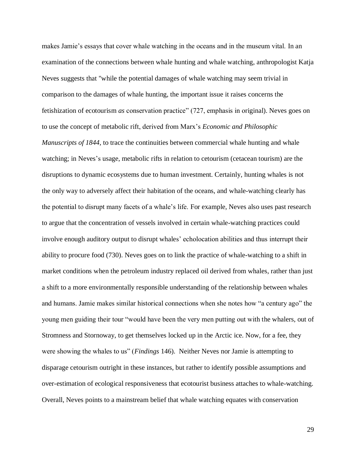makes Jamie's essays that cover whale watching in the oceans and in the museum vital. In an examination of the connections between whale hunting and whale watching, anthropologist Katja Neves suggests that "while the potential damages of whale watching may seem trivial in comparison to the damages of whale hunting, the important issue it raises concerns the fetishization of ecotourism *as* conservation practice" (727, emphasis in original). Neves goes on to use the concept of metabolic rift, derived from Marx's *Economic and Philosophic Manuscripts of 1844*, to trace the continuities between commercial whale hunting and whale watching; in Neves's usage, metabolic rifts in relation to cetourism (cetacean tourism) are the disruptions to dynamic ecosystems due to human investment. Certainly, hunting whales is not the only way to adversely affect their habitation of the oceans, and whale-watching clearly has the potential to disrupt many facets of a whale's life. For example, Neves also uses past research to argue that the concentration of vessels involved in certain whale-watching practices could involve enough auditory output to disrupt whales' echolocation abilities and thus interrupt their ability to procure food (730). Neves goes on to link the practice of whale-watching to a shift in market conditions when the petroleum industry replaced oil derived from whales, rather than just a shift to a more environmentally responsible understanding of the relationship between whales and humans. Jamie makes similar historical connections when she notes how "a century ago" the young men guiding their tour "would have been the very men putting out with the whalers, out of Stromness and Stornoway, to get themselves locked up in the Arctic ice. Now, for a fee, they were showing the whales to us" (*Findings* 146). Neither Neves nor Jamie is attempting to disparage cetourism outright in these instances, but rather to identify possible assumptions and over-estimation of ecological responsiveness that ecotourist business attaches to whale-watching. Overall, Neves points to a mainstream belief that whale watching equates with conservation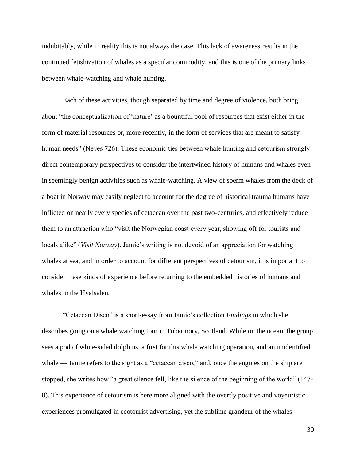indubitably, while in reality this is not always the case. This lack of awareness results in the continued fetishization of whales as a specular commodity, and this is one of the primary links between whale-watching and whale hunting.

Each of these activities, though separated by time and degree of violence, both bring about "the conceptualization of 'nature' as a bountiful pool of resources that exist either in the form of material resources or, more recently, in the form of services that are meant to satisfy human needs" (Neves 726). These economic ties between whale hunting and cetourism strongly direct contemporary perspectives to consider the intertwined history of humans and whales even in seemingly benign activities such as whale-watching. A view of sperm whales from the deck of a boat in Norway may easily neglect to account for the degree of historical trauma humans have inflicted on nearly every species of cetacean over the past two-centuries, and effectively reduce them to an attraction who "visit the Norwegian coast every year, showing off for tourists and locals alike" (*Visit Norway*). Jamie's writing is not devoid of an appreciation for watching whales at sea, and in order to account for different perspectives of cetourism, it is important to consider these kinds of experience before returning to the embedded histories of humans and whales in the Hvalsalen.

"Cetacean Disco" is a short-essay from Jamie's collection *Findings* in which she describes going on a whale watching tour in Tobermory, Scotland. While on the ocean, the group sees a pod of white-sided dolphins, a first for this whale watching operation, and an unidentified whale — Jamie refers to the sight as a "cetacean disco," and, once the engines on the ship are stopped, she writes how "a great silence fell, like the silence of the beginning of the world" (147- 8). This experience of cetourism is here more aligned with the overtly positive and voyeuristic experiences promulgated in ecotourist advertising, yet the sublime grandeur of the whales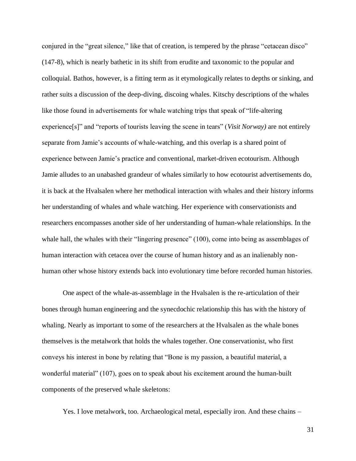conjured in the "great silence," like that of creation, is tempered by the phrase "cetacean disco" (147-8), which is nearly bathetic in its shift from erudite and taxonomic to the popular and colloquial. Bathos, however, is a fitting term as it etymologically relates to depths or sinking, and rather suits a discussion of the deep-diving, discoing whales. Kitschy descriptions of the whales like those found in advertisements for whale watching trips that speak of "life-altering experience[s]" and "reports of tourists leaving the scene in tears" (*Visit Norway)* are not entirely separate from Jamie's accounts of whale-watching, and this overlap is a shared point of experience between Jamie's practice and conventional, market-driven ecotourism. Although Jamie alludes to an unabashed grandeur of whales similarly to how ecotourist advertisements do, it is back at the Hvalsalen where her methodical interaction with whales and their history informs her understanding of whales and whale watching. Her experience with conservationists and researchers encompasses another side of her understanding of human-whale relationships. In the whale hall, the whales with their "lingering presence" (100), come into being as assemblages of human interaction with cetacea over the course of human history and as an inalienably nonhuman other whose history extends back into evolutionary time before recorded human histories.

One aspect of the whale-as-assemblage in the Hvalsalen is the re-articulation of their bones through human engineering and the synecdochic relationship this has with the history of whaling. Nearly as important to some of the researchers at the Hvalsalen as the whale bones themselves is the metalwork that holds the whales together. One conservationist, who first conveys his interest in bone by relating that "Bone is my passion, a beautiful material, a wonderful material" (107), goes on to speak about his excitement around the human-built components of the preserved whale skeletons:

Yes. I love metalwork, too. Archaeological metal, especially iron. And these chains –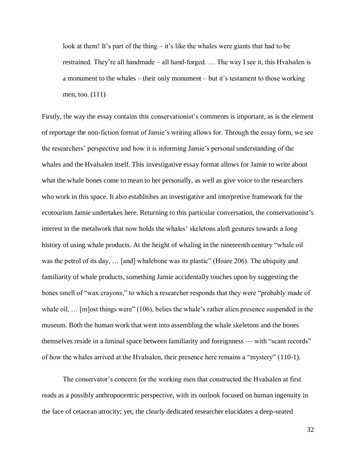look at them! It's part of the thing – it's like the whales were giants that had to be restrained. They're all handmade – all hand-forged. … The way I see it, this Hvalsalen is a monument to the whales – their only monument – but it's testament to those working men, too. (111)

Firstly, the way the essay contains this conservationist's comments is important, as is the element of reportage the non-fiction format of Jamie's writing allows for. Through the essay form, we see the researchers' perspective and how it is informing Jamie's personal understanding of the whales and the Hvalsalen itself. This investigative essay format allows for Jamie to write about what the whale bones come to mean to her personally, as well as give voice to the researchers who work in this space. It also establishes an investigative and interpretive framework for the ecotourism Jamie undertakes here. Returning to this particular conversation, the conservationist's interest in the metalwork that now holds the whales' skeletons aloft gestures towards a long history of using whale products. At the height of whaling in the nineteenth century "whale oil was the petrol of its day, … [and] whalebone was its plastic" (Hoare 206). The ubiquity and familiarity of whale products, something Jamie accidentally touches upon by suggesting the bones smell of "wax crayons," to which a researcher responds that they were "probably made of whale oil, ... [m]ost things were" (106), belies the whale's rather alien presence suspended in the museum. Both the human work that went into assembling the whale skeletons and the bones themselves reside in a liminal space between familiarity and foreignness — with "scant records" of how the whales arrived at the Hvalsalen, their presence here remains a "mystery" (110-1).

The conservator's concern for the working men that constructed the Hvalsalen at first reads as a possibly anthropocentric perspective, with its outlook focused on human ingenuity in the face of cetacean atrocity; yet, the clearly dedicated researcher elucidates a deep-seated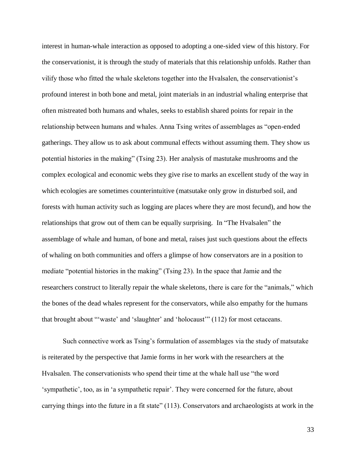interest in human-whale interaction as opposed to adopting a one-sided view of this history. For the conservationist, it is through the study of materials that this relationship unfolds. Rather than vilify those who fitted the whale skeletons together into the Hvalsalen, the conservationist's profound interest in both bone and metal, joint materials in an industrial whaling enterprise that often mistreated both humans and whales, seeks to establish shared points for repair in the relationship between humans and whales. Anna Tsing writes of assemblages as "open-ended gatherings. They allow us to ask about communal effects without assuming them. They show us potential histories in the making" (Tsing 23). Her analysis of mastutake mushrooms and the complex ecological and economic webs they give rise to marks an excellent study of the way in which ecologies are sometimes counterintuitive (matsutake only grow in disturbed soil, and forests with human activity such as logging are places where they are most fecund), and how the relationships that grow out of them can be equally surprising. In "The Hvalsalen" the assemblage of whale and human, of bone and metal, raises just such questions about the effects of whaling on both communities and offers a glimpse of how conservators are in a position to mediate "potential histories in the making" (Tsing 23). In the space that Jamie and the researchers construct to literally repair the whale skeletons, there is care for the "animals," which the bones of the dead whales represent for the conservators, while also empathy for the humans that brought about "'waste' and 'slaughter' and 'holocaust'" (112) for most cetaceans.

Such connective work as Tsing's formulation of assemblages via the study of matsutake is reiterated by the perspective that Jamie forms in her work with the researchers at the Hvalsalen. The conservationists who spend their time at the whale hall use "the word 'sympathetic', too, as in 'a sympathetic repair'. They were concerned for the future, about carrying things into the future in a fit state" (113). Conservators and archaeologists at work in the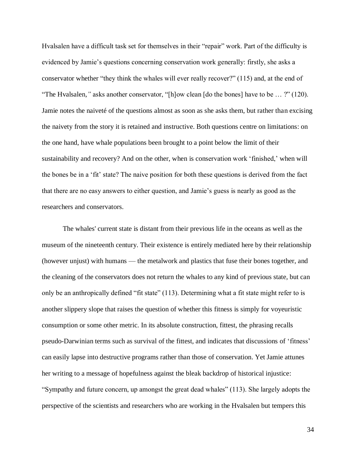Hvalsalen have a difficult task set for themselves in their "repair" work. Part of the difficulty is evidenced by Jamie's questions concerning conservation work generally: firstly, she asks a conservator whether "they think the whales will ever really recover?" (115) and, at the end of "The Hvalsalen*,"* asks another conservator, "[h]ow clean [do the bones] have to be … ?" (120). Jamie notes the naiveté of the questions almost as soon as she asks them, but rather than excising the naivety from the story it is retained and instructive. Both questions centre on limitations: on the one hand, have whale populations been brought to a point below the limit of their sustainability and recovery? And on the other, when is conservation work 'finished,' when will the bones be in a 'fit' state? The naive position for both these questions is derived from the fact that there are no easy answers to either question, and Jamie's guess is nearly as good as the researchers and conservators.

The whales' current state is distant from their previous life in the oceans as well as the museum of the nineteenth century. Their existence is entirely mediated here by their relationship (however unjust) with humans — the metalwork and plastics that fuse their bones together, and the cleaning of the conservators does not return the whales to any kind of previous state, but can only be an anthropically defined "fit state" (113). Determining what a fit state might refer to is another slippery slope that raises the question of whether this fitness is simply for voyeuristic consumption or some other metric. In its absolute construction, fittest, the phrasing recalls pseudo-Darwinian terms such as survival of the fittest, and indicates that discussions of 'fitness' can easily lapse into destructive programs rather than those of conservation. Yet Jamie attunes her writing to a message of hopefulness against the bleak backdrop of historical injustice: "Sympathy and future concern, up amongst the great dead whales" (113). She largely adopts the perspective of the scientists and researchers who are working in the Hvalsalen but tempers this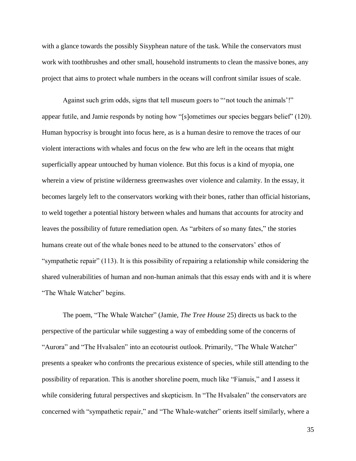with a glance towards the possibly Sisyphean nature of the task. While the conservators must work with toothbrushes and other small, household instruments to clean the massive bones, any project that aims to protect whale numbers in the oceans will confront similar issues of scale.

Against such grim odds, signs that tell museum goers to "'not touch the animals'!" appear futile, and Jamie responds by noting how "[s]ometimes our species beggars belief" (120). Human hypocrisy is brought into focus here, as is a human desire to remove the traces of our violent interactions with whales and focus on the few who are left in the oceans that might superficially appear untouched by human violence. But this focus is a kind of myopia, one wherein a view of pristine wilderness greenwashes over violence and calamity. In the essay, it becomes largely left to the conservators working with their bones, rather than official historians, to weld together a potential history between whales and humans that accounts for atrocity and leaves the possibility of future remediation open. As "arbiters of so many fates," the stories humans create out of the whale bones need to be attuned to the conservators' ethos of "sympathetic repair" (113). It is this possibility of repairing a relationship while considering the shared vulnerabilities of human and non-human animals that this essay ends with and it is where "The Whale Watcher" begins.

The poem, "The Whale Watcher" (Jamie, *The Tree House* 25) directs us back to the perspective of the particular while suggesting a way of embedding some of the concerns of "Aurora" and "The Hvalsalen" into an ecotourist outlook. Primarily, "The Whale Watcher" presents a speaker who confronts the precarious existence of species, while still attending to the possibility of reparation. This is another shoreline poem, much like "Fianuis," and I assess it while considering futural perspectives and skepticism. In "The Hvalsalen" the conservators are concerned with "sympathetic repair," and "The Whale-watcher" orients itself similarly, where a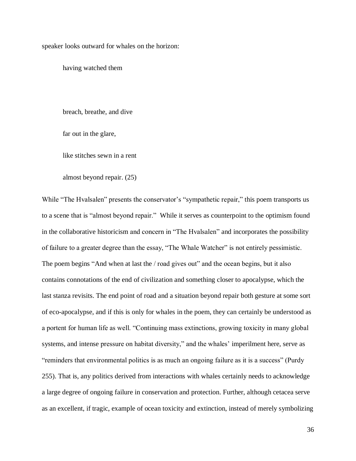speaker looks outward for whales on the horizon:

having watched them

breach, breathe, and dive

far out in the glare,

like stitches sewn in a rent

almost beyond repair. (25)

While "The Hvalsalen" presents the conservator's "sympathetic repair," this poem transports us to a scene that is "almost beyond repair." While it serves as counterpoint to the optimism found in the collaborative historicism and concern in "The Hvalsalen" and incorporates the possibility of failure to a greater degree than the essay, "The Whale Watcher" is not entirely pessimistic. The poem begins "And when at last the / road gives out" and the ocean begins, but it also contains connotations of the end of civilization and something closer to apocalypse, which the last stanza revisits. The end point of road and a situation beyond repair both gesture at some sort of eco-apocalypse, and if this is only for whales in the poem, they can certainly be understood as a portent for human life as well. "Continuing mass extinctions, growing toxicity in many global systems, and intense pressure on habitat diversity," and the whales' imperilment here, serve as "reminders that environmental politics is as much an ongoing failure as it is a success" (Purdy 255). That is, any politics derived from interactions with whales certainly needs to acknowledge a large degree of ongoing failure in conservation and protection. Further, although cetacea serve as an excellent, if tragic, example of ocean toxicity and extinction, instead of merely symbolizing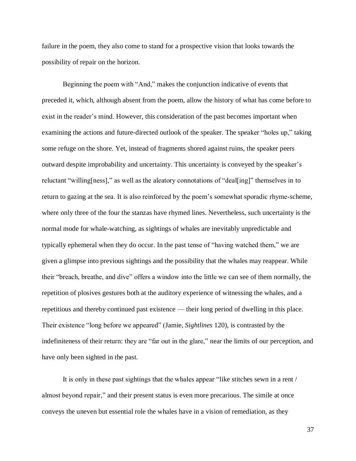failure in the poem, they also come to stand for a prospective vision that looks towards the possibility of repair on the horizon.

Beginning the poem with "And," makes the conjunction indicative of events that preceded it, which, although absent from the poem, allow the history of what has come before to exist in the reader's mind. However, this consideration of the past becomes important when examining the actions and future-directed outlook of the speaker. The speaker "holes up," taking some refuge on the shore. Yet, instead of fragments shored against ruins, the speaker peers outward despite improbability and uncertainty. This uncertainty is conveyed by the speaker's reluctant "willing[ness]," as well as the aleatory connotations of "deal[ing]" themselves in to return to gazing at the sea. It is also reinforced by the poem's somewhat sporadic rhyme-scheme, where only three of the four the stanzas have rhymed lines. Nevertheless, such uncertainty is the normal mode for whale-watching, as sightings of whales are inevitably unpredictable and typically ephemeral when they do occur. In the past tense of "having watched them," we are given a glimpse into previous sightings and the possibility that the whales may reappear. While their "breach, breathe, and dive" offers a window into the little we can see of them normally, the repetition of plosives gestures both at the auditory experience of witnessing the whales, and a repetitious and thereby continued past existence — their long period of dwelling in this place. Their existence "long before we appeared" (Jamie, *Sightlines* 120), is contrasted by the indefiniteness of their return: they are "far out in the glare," near the limits of our perception, and have only been sighted in the past.

It is only in these past sightings that the whales appear "like stitches sewn in a rent / almost beyond repair," and their present status is even more precarious. The simile at once conveys the uneven but essential role the whales have in a vision of remediation, as they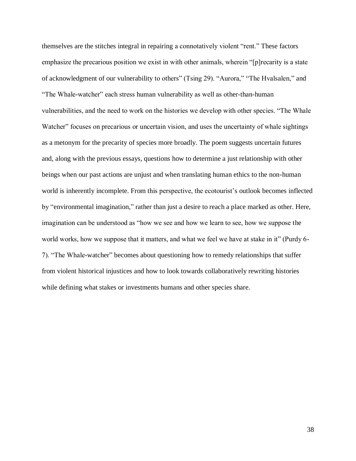themselves are the stitches integral in repairing a connotatively violent "rent." These factors emphasize the precarious position we exist in with other animals, wherein "[p]recarity is a state of acknowledgment of our vulnerability to others" (Tsing 29). "Aurora," "The Hvalsalen," and "The Whale-watcher" each stress human vulnerability as well as other-than-human vulnerabilities, and the need to work on the histories we develop with other species. "The Whale Watcher" focuses on precarious or uncertain vision, and uses the uncertainty of whale sightings as a metonym for the precarity of species more broadly. The poem suggests uncertain futures and, along with the previous essays, questions how to determine a just relationship with other beings when our past actions are unjust and when translating human ethics to the non-human world is inherently incomplete. From this perspective, the ecotourist's outlook becomes inflected by "environmental imagination," rather than just a desire to reach a place marked as other. Here, imagination can be understood as "how we see and how we learn to see, how we suppose the world works, how we suppose that it matters, and what we feel we have at stake in it" (Purdy 6- 7). "The Whale-watcher" becomes about questioning how to remedy relationships that suffer from violent historical injustices and how to look towards collaboratively rewriting histories while defining what stakes or investments humans and other species share.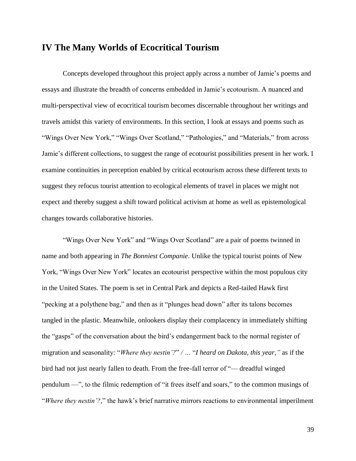### **IV The Many Worlds of Ecocritical Tourism**

Concepts developed throughout this project apply across a number of Jamie's poems and essays and illustrate the breadth of concerns embedded in Jamie's ecotourism. A nuanced and multi-perspectival view of ecocritical tourism becomes discernable throughout her writings and travels amidst this variety of environments. In this section, I look at essays and poems such as "Wings Over New York," "Wings Over Scotland," "Pathologies," and "Materials," from across Jamie's different collections, to suggest the range of ecotourist possibilities present in her work. I examine continuities in perception enabled by critical ecotourism across these different texts to suggest they refocus tourist attention to ecological elements of travel in places we might not expect and thereby suggest a shift toward political activism at home as well as epistemological changes towards collaborative histories.

"Wings Over New York" and "Wings Over Scotland" are a pair of poems twinned in name and both appearing in *The Bonniest Companie*. Unlike the typical tourist points of New York, "Wings Over New York" locates an ecotourist perspective within the most populous city in the United States. The poem is set in Central Park and depicts a Red-tailed Hawk first "pecking at a polythene bag," and then as it "plunges head down" after its talons becomes tangled in the plastic. Meanwhile, onlookers display their complacency in immediately shifting the "gasps" of the conversation about the bird's endangerment back to the normal register of migration and seasonality: "*Where they nestin'?*" */ …* "*I heard on Dakota, this year,"* as if the bird had not just nearly fallen to death. From the free-fall terror of "— dreadful winged pendulum —", to the filmic redemption of "it frees itself and soars," to the common musings of "*Where they nestin'?,*" the hawk's brief narrative mirrors reactions to environmental imperilment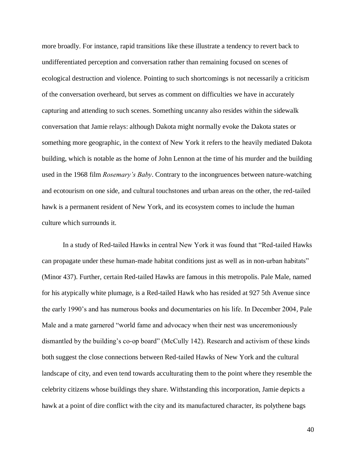more broadly. For instance, rapid transitions like these illustrate a tendency to revert back to undifferentiated perception and conversation rather than remaining focused on scenes of ecological destruction and violence. Pointing to such shortcomings is not necessarily a criticism of the conversation overheard, but serves as comment on difficulties we have in accurately capturing and attending to such scenes. Something uncanny also resides within the sidewalk conversation that Jamie relays: although Dakota might normally evoke the Dakota states or something more geographic, in the context of New York it refers to the heavily mediated Dakota building, which is notable as the home of John Lennon at the time of his murder and the building used in the 1968 film *Rosemary's Baby*. Contrary to the incongruences between nature-watching and ecotourism on one side, and cultural touchstones and urban areas on the other, the red-tailed hawk is a permanent resident of New York, and its ecosystem comes to include the human culture which surrounds it.

In a study of Red-tailed Hawks in central New York it was found that "Red-tailed Hawks can propagate under these human-made habitat conditions just as well as in non-urban habitats" (Minor 437). Further, certain Red-tailed Hawks are famous in this metropolis. Pale Male, named for his atypically white plumage, is a Red-tailed Hawk who has resided at 927 5th Avenue since the early 1990's and has numerous books and documentaries on his life. In December 2004, Pale Male and a mate garnered "world fame and advocacy when their nest was unceremoniously dismantled by the building's co-op board" (McCully 142). Research and activism of these kinds both suggest the close connections between Red-tailed Hawks of New York and the cultural landscape of city, and even tend towards acculturating them to the point where they resemble the celebrity citizens whose buildings they share. Withstanding this incorporation, Jamie depicts a hawk at a point of dire conflict with the city and its manufactured character, its polythene bags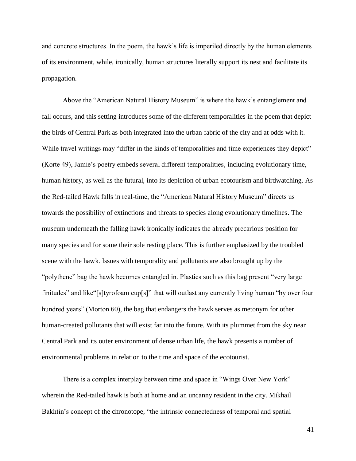and concrete structures. In the poem, the hawk's life is imperiled directly by the human elements of its environment, while, ironically, human structures literally support its nest and facilitate its propagation.

Above the "American Natural History Museum" is where the hawk's entanglement and fall occurs, and this setting introduces some of the different temporalities in the poem that depict the birds of Central Park as both integrated into the urban fabric of the city and at odds with it. While travel writings may "differ in the kinds of temporalities and time experiences they depict" (Korte 49), Jamie's poetry embeds several different temporalities, including evolutionary time, human history, as well as the futural, into its depiction of urban ecotourism and birdwatching. As the Red-tailed Hawk falls in real-time, the "American Natural History Museum" directs us towards the possibility of extinctions and threats to species along evolutionary timelines. The museum underneath the falling hawk ironically indicates the already precarious position for many species and for some their sole resting place. This is further emphasized by the troubled scene with the hawk. Issues with temporality and pollutants are also brought up by the "polythene" bag the hawk becomes entangled in. Plastics such as this bag present "very large finitudes" and like"[s]tyrofoam cup[s]" that will outlast any currently living human "by over four hundred years" (Morton 60), the bag that endangers the hawk serves as metonym for other human-created pollutants that will exist far into the future. With its plummet from the sky near Central Park and its outer environment of dense urban life, the hawk presents a number of environmental problems in relation to the time and space of the ecotourist.

There is a complex interplay between time and space in "Wings Over New York" wherein the Red-tailed hawk is both at home and an uncanny resident in the city. Mikhail Bakhtin's concept of the chronotope, "the intrinsic connectedness of temporal and spatial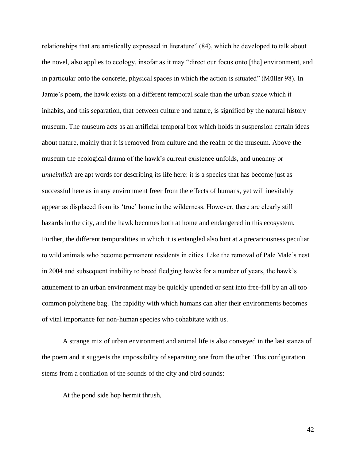relationships that are artistically expressed in literature" (84), which he developed to talk about the novel, also applies to ecology, insofar as it may "direct our focus onto [the] environment, and in particular onto the concrete, physical spaces in which the action is situated" (Müller 98). In Jamie's poem, the hawk exists on a different temporal scale than the urban space which it inhabits, and this separation, that between culture and nature, is signified by the natural history museum. The museum acts as an artificial temporal box which holds in suspension certain ideas about nature, mainly that it is removed from culture and the realm of the museum. Above the museum the ecological drama of the hawk's current existence unfolds, and uncanny or *unheimlich* are apt words for describing its life here: it is a species that has become just as successful here as in any environment freer from the effects of humans, yet will inevitably appear as displaced from its 'true' home in the wilderness. However, there are clearly still hazards in the city, and the hawk becomes both at home and endangered in this ecosystem. Further, the different temporalities in which it is entangled also hint at a precariousness peculiar to wild animals who become permanent residents in cities. Like the removal of Pale Male's nest in 2004 and subsequent inability to breed fledging hawks for a number of years, the hawk's attunement to an urban environment may be quickly upended or sent into free-fall by an all too common polythene bag. The rapidity with which humans can alter their environments becomes of vital importance for non-human species who cohabitate with us.

A strange mix of urban environment and animal life is also conveyed in the last stanza of the poem and it suggests the impossibility of separating one from the other. This configuration stems from a conflation of the sounds of the city and bird sounds:

At the pond side hop hermit thrush,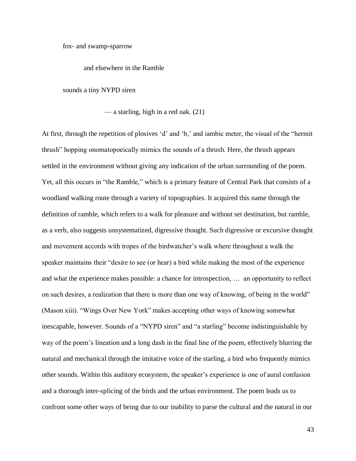fox- and swamp-sparrow

### and elsewhere in the Ramble

sounds a tiny NYPD siren

— a starling, high in a red oak. (21)

At first, through the repetition of plosives 'd' and 'b,' and iambic meter, the visual of the "hermit thrush" hopping onomatopoeically mimics the sounds of a thrush. Here, the thrush appears settled in the environment without giving any indication of the urban surrounding of the poem. Yet, all this occurs in "the Ramble," which is a primary feature of Central Park that consists of a woodland walking route through a variety of topographies. It acquired this name through the definition of ramble, which refers to a walk for pleasure and without set destination, but ramble, as a verb, also suggests unsystematized, digressive thought. Such digressive or excursive thought and movement accords with tropes of the birdwatcher's walk where throughout a walk the speaker maintains their "desire to see (or hear) a bird while making the most of the experience and what the experience makes possible: a chance for introspection, … an opportunity to reflect on such desires, a realization that there is more than one way of knowing, of being in the world" (Mason xiii). "Wings Over New York" makes accepting other ways of knowing somewhat inescapable, however. Sounds of a "NYPD siren" and "a starling" become indistinguishable by way of the poem's lineation and a long dash in the final line of the poem, effectively blurring the natural and mechanical through the imitative voice of the starling, a bird who frequently mimics other sounds. Within this auditory ecosystem, the speaker's experience is one of aural confusion and a thorough inter-splicing of the birds and the urban environment. The poem leads us to confront some other ways of being due to our inability to parse the cultural and the natural in our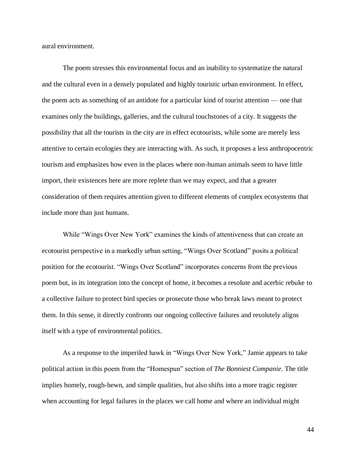aural environment.

The poem stresses this environmental focus and an inability to systematize the natural and the cultural even in a densely populated and highly touristic urban environment. In effect, the poem acts as something of an antidote for a particular kind of tourist attention — one that examines only the buildings, galleries, and the cultural touchstones of a city. It suggests the possibility that all the tourists in the city are in effect ecotourists, while some are merely less attentive to certain ecologies they are interacting with. As such, it proposes a less anthropocentric tourism and emphasizes how even in the places where non-human animals seem to have little import, their existences here are more replete than we may expect, and that a greater consideration of them requires attention given to different elements of complex ecosystems that include more than just humans.

While "Wings Over New York" examines the kinds of attentiveness that can create an ecotourist perspective in a markedly urban setting, "Wings Over Scotland" posits a political position for the ecotourist. "Wings Over Scotland" incorporates concerns from the previous poem but, in its integration into the concept of home, it becomes a resolute and acerbic rebuke to a collective failure to protect bird species or prosecute those who break laws meant to protect them. In this sense, it directly confronts our ongoing collective failures and resolutely aligns itself with a type of environmental politics.

As a response to the imperiled hawk in "Wings Over New York," Jamie appears to take political action in this poem from the "Homespun" section of *The Bonniest Companie.* The title implies homely, rough-hewn, and simple qualities, but also shifts into a more tragic register when accounting for legal failures in the places we call home and where an individual might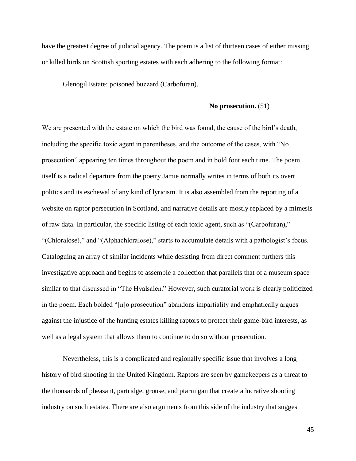have the greatest degree of judicial agency. The poem is a list of thirteen cases of either missing or killed birds on Scottish sporting estates with each adhering to the following format:

Glenogil Estate: poisoned buzzard (Carbofuran).

#### **No prosecution.** (51)

We are presented with the estate on which the bird was found, the cause of the bird's death, including the specific toxic agent in parentheses, and the outcome of the cases, with "No prosecution" appearing ten times throughout the poem and in bold font each time. The poem itself is a radical departure from the poetry Jamie normally writes in terms of both its overt politics and its eschewal of any kind of lyricism. It is also assembled from the reporting of a website on raptor persecution in Scotland, and narrative details are mostly replaced by a mimesis of raw data. In particular, the specific listing of each toxic agent, such as "(Carbofuran)," "(Chloralose)," and "(Alphachloralose)," starts to accumulate details with a pathologist's focus. Cataloguing an array of similar incidents while desisting from direct comment furthers this investigative approach and begins to assemble a collection that parallels that of a museum space similar to that discussed in "The Hvalsalen." However, such curatorial work is clearly politicized in the poem. Each bolded "[n]o prosecution" abandons impartiality and emphatically argues against the injustice of the hunting estates killing raptors to protect their game-bird interests, as well as a legal system that allows them to continue to do so without prosecution.

Nevertheless, this is a complicated and regionally specific issue that involves a long history of bird shooting in the United Kingdom. Raptors are seen by gamekeepers as a threat to the thousands of pheasant, partridge, grouse, and ptarmigan that create a lucrative shooting industry on such estates. There are also arguments from this side of the industry that suggest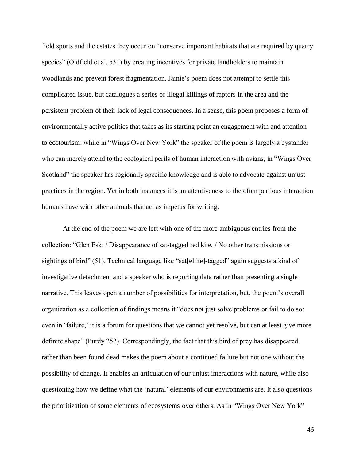field sports and the estates they occur on "conserve important habitats that are required by quarry species" (Oldfield et al. 531) by creating incentives for private landholders to maintain woodlands and prevent forest fragmentation. Jamie's poem does not attempt to settle this complicated issue, but catalogues a series of illegal killings of raptors in the area and the persistent problem of their lack of legal consequences. In a sense, this poem proposes a form of environmentally active politics that takes as its starting point an engagement with and attention to ecotourism: while in "Wings Over New York" the speaker of the poem is largely a bystander who can merely attend to the ecological perils of human interaction with avians, in "Wings Over Scotland" the speaker has regionally specific knowledge and is able to advocate against unjust practices in the region. Yet in both instances it is an attentiveness to the often perilous interaction humans have with other animals that act as impetus for writing.

At the end of the poem we are left with one of the more ambiguous entries from the collection: "Glen Esk: / Disappearance of sat-tagged red kite. / No other transmissions or sightings of bird" (51). Technical language like "sat[ellite]-tagged" again suggests a kind of investigative detachment and a speaker who is reporting data rather than presenting a single narrative. This leaves open a number of possibilities for interpretation, but, the poem's overall organization as a collection of findings means it "does not just solve problems or fail to do so: even in 'failure,' it is a forum for questions that we cannot yet resolve, but can at least give more definite shape" (Purdy 252). Correspondingly, the fact that this bird of prey has disappeared rather than been found dead makes the poem about a continued failure but not one without the possibility of change. It enables an articulation of our unjust interactions with nature, while also questioning how we define what the 'natural' elements of our environments are. It also questions the prioritization of some elements of ecosystems over others. As in "Wings Over New York"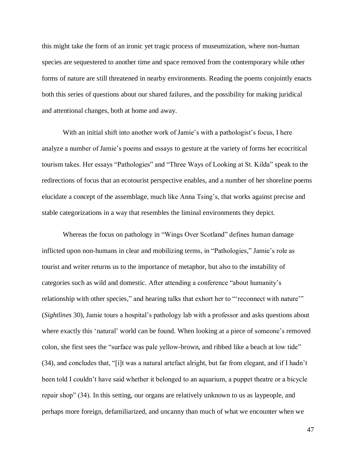this might take the form of an ironic yet tragic process of museumization, where non-human species are sequestered to another time and space removed from the contemporary while other forms of nature are still threatened in nearby environments. Reading the poems conjointly enacts both this series of questions about our shared failures, and the possibility for making juridical and attentional changes, both at home and away.

With an initial shift into another work of Jamie's with a pathologist's focus, I here analyze a number of Jamie's poems and essays to gesture at the variety of forms her ecocritical tourism takes. Her essays "Pathologies" and "Three Ways of Looking at St. Kilda" speak to the redirections of focus that an ecotourist perspective enables, and a number of her shoreline poems elucidate a concept of the assemblage, much like Anna Tsing's, that works against precise and stable categorizations in a way that resembles the liminal environments they depict.

Whereas the focus on pathology in "Wings Over Scotland" defines human damage inflicted upon non-humans in clear and mobilizing terms, in "Pathologies," Jamie's role as tourist and writer returns us to the importance of metaphor, but also to the instability of categories such as wild and domestic. After attending a conference "about humanity's relationship with other species," and hearing talks that exhort her to "'reconnect with nature'" (*Sightlines* 30), Jamie tours a hospital's pathology lab with a professor and asks questions about where exactly this 'natural' world can be found. When looking at a piece of someone's removed colon, she first sees the "surface was pale yellow-brown, and ribbed like a beach at low tide" (34), and concludes that, "[i]t was a natural artefact alright, but far from elegant, and if I hadn't been told I couldn't have said whether it belonged to an aquarium, a puppet theatre or a bicycle repair shop" (34). In this setting, our organs are relatively unknown to us as laypeople, and perhaps more foreign, defamiliarized, and uncanny than much of what we encounter when we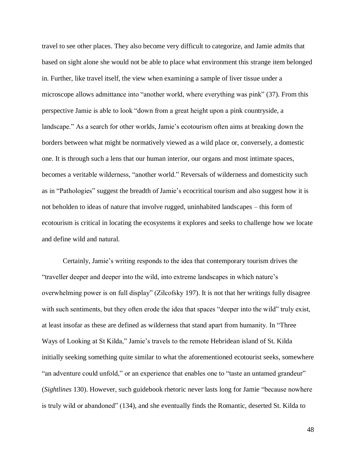travel to see other places. They also become very difficult to categorize, and Jamie admits that based on sight alone she would not be able to place what environment this strange item belonged in. Further, like travel itself, the view when examining a sample of liver tissue under a microscope allows admittance into "another world, where everything was pink" (37). From this perspective Jamie is able to look "down from a great height upon a pink countryside, a landscape." As a search for other worlds, Jamie's ecotourism often aims at breaking down the borders between what might be normatively viewed as a wild place or, conversely, a domestic one. It is through such a lens that our human interior, our organs and most intimate spaces, becomes a veritable wilderness, "another world." Reversals of wilderness and domesticity such as in "Pathologies" suggest the breadth of Jamie's ecocritical tourism and also suggest how it is not beholden to ideas of nature that involve rugged, uninhabited landscapes – this form of ecotourism is critical in locating the ecosystems it explores and seeks to challenge how we locate and define wild and natural.

Certainly, Jamie's writing responds to the idea that contemporary tourism drives the "traveller deeper and deeper into the wild, into extreme landscapes in which nature's overwhelming power is on full display" (Zilcofsky 197). It is not that her writings fully disagree with such sentiments, but they often erode the idea that spaces "deeper into the wild" truly exist, at least insofar as these are defined as wilderness that stand apart from humanity. In "Three Ways of Looking at St Kilda," Jamie's travels to the remote Hebridean island of St. Kilda initially seeking something quite similar to what the aforementioned ecotourist seeks, somewhere "an adventure could unfold," or an experience that enables one to "taste an untamed grandeur" (*Sightlines* 130). However, such guidebook rhetoric never lasts long for Jamie "because nowhere is truly wild or abandoned" (134), and she eventually finds the Romantic, deserted St. Kilda to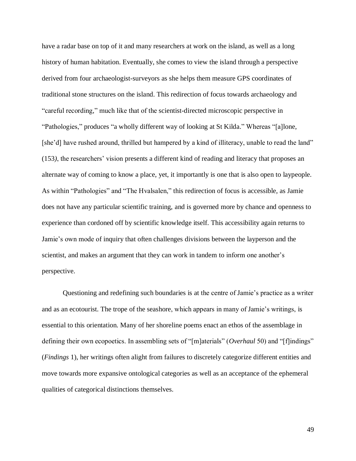have a radar base on top of it and many researchers at work on the island, as well as a long history of human habitation. Eventually, she comes to view the island through a perspective derived from four archaeologist-surveyors as she helps them measure GPS coordinates of traditional stone structures on the island. This redirection of focus towards archaeology and "careful recording," much like that of the scientist-directed microscopic perspective in "Pathologies," produces "a wholly different way of looking at St Kilda." Whereas "[a]lone, [she'd] have rushed around, thrilled but hampered by a kind of illiteracy, unable to read the land" (153*)*, the researchers' vision presents a different kind of reading and literacy that proposes an alternate way of coming to know a place, yet, it importantly is one that is also open to laypeople. As within "Pathologies" and "The Hvalsalen," this redirection of focus is accessible, as Jamie does not have any particular scientific training, and is governed more by chance and openness to experience than cordoned off by scientific knowledge itself. This accessibility again returns to Jamie's own mode of inquiry that often challenges divisions between the layperson and the scientist, and makes an argument that they can work in tandem to inform one another's perspective.

Questioning and redefining such boundaries is at the centre of Jamie's practice as a writer and as an ecotourist. The trope of the seashore, which appears in many of Jamie's writings, is essential to this orientation. Many of her shoreline poems enact an ethos of the assemblage in defining their own ecopoetics. In assembling sets of "[m]aterials" (*Overhaul* 50) and "[f]indings" (*Findings* 1), her writings often alight from failures to discretely categorize different entities and move towards more expansive ontological categories as well as an acceptance of the ephemeral qualities of categorical distinctions themselves.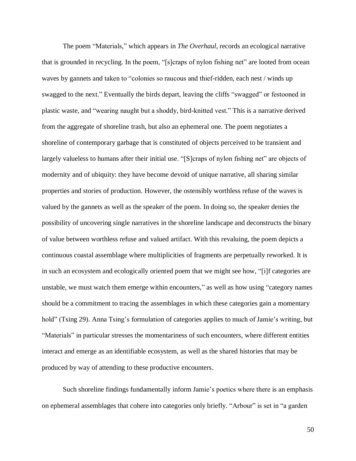The poem "Materials," which appears in *The Overhaul*, records an ecological narrative that is grounded in recycling. In the poem, "[s]craps of nylon fishing net" are looted from ocean waves by gannets and taken to "colonies so raucous and thief-ridden, each nest / winds up swagged to the next." Eventually the birds depart, leaving the cliffs "swagged" or festooned in plastic waste, and "wearing naught but a shoddy, bird-knitted vest." This is a narrative derived from the aggregate of shoreline trash, but also an ephemeral one. The poem negotiates a shoreline of contemporary garbage that is constituted of objects perceived to be transient and largely valueless to humans after their initial use. "[S]craps of nylon fishing net" are objects of modernity and of ubiquity: they have become devoid of unique narrative, all sharing similar properties and stories of production. However, the ostensibly worthless refuse of the waves is valued by the gannets as well as the speaker of the poem. In doing so, the speaker denies the possibility of uncovering single narratives in the shoreline landscape and deconstructs the binary of value between worthless refuse and valued artifact. With this revaluing, the poem depicts a continuous coastal assemblage where multiplicities of fragments are perpetually reworked. It is in such an ecosystem and ecologically oriented poem that we might see how, "[i]f categories are unstable, we must watch them emerge within encounters," as well as how using "category names should be a commitment to tracing the assemblages in which these categories gain a momentary hold" (Tsing 29). Anna Tsing's formulation of categories applies to much of Jamie's writing, but "Materials" in particular stresses the momentariness of such encounters, where different entities interact and emerge as an identifiable ecosystem, as well as the shared histories that may be produced by way of attending to these productive encounters.

Such shoreline findings fundamentally inform Jamie's poetics where there is an emphasis on ephemeral assemblages that cohere into categories only briefly. "Arbour" is set in "a garden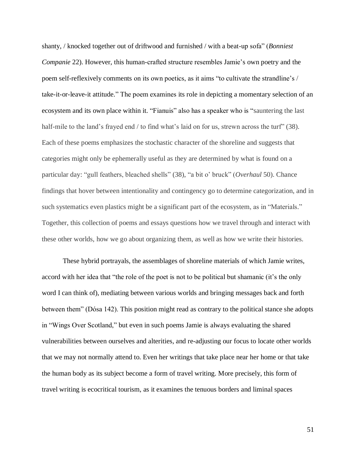shanty, / knocked together out of driftwood and furnished / with a beat-up sofa" (*Bonniest Companie* 22). However, this human-crafted structure resembles Jamie's own poetry and the poem self-reflexively comments on its own poetics, as it aims "to cultivate the strandline's / take-it-or-leave-it attitude." The poem examines its role in depicting a momentary selection of an ecosystem and its own place within it. "Fianuis" also has a speaker who is "sauntering the last half-mile to the land's frayed end / to find what's laid on for us, strewn across the turf" (38). Each of these poems emphasizes the stochastic character of the shoreline and suggests that categories might only be ephemerally useful as they are determined by what is found on a particular day: "gull feathers, bleached shells" (38), "a bit o' bruck" (*Overhaul* 50). Chance findings that hover between intentionality and contingency go to determine categorization, and in such systematics even plastics might be a significant part of the ecosystem, as in "Materials." Together, this collection of poems and essays questions how we travel through and interact with these other worlds, how we go about organizing them, as well as how we write their histories.

These hybrid portrayals, the assemblages of shoreline materials of which Jamie writes, accord with her idea that "the role of the poet is not to be political but shamanic (it's the only word I can think of), mediating between various worlds and bringing messages back and forth between them" (Dósa 142). This position might read as contrary to the political stance she adopts in "Wings Over Scotland," but even in such poems Jamie is always evaluating the shared vulnerabilities between ourselves and alterities, and re-adjusting our focus to locate other worlds that we may not normally attend to. Even her writings that take place near her home or that take the human body as its subject become a form of travel writing. More precisely, this form of travel writing is ecocritical tourism, as it examines the tenuous borders and liminal spaces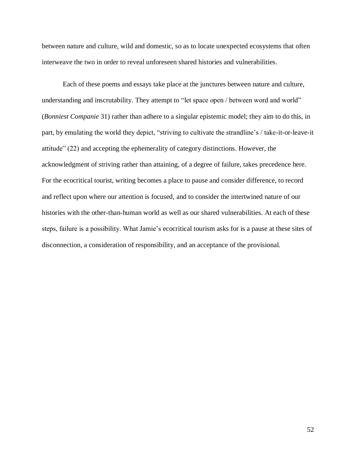between nature and culture, wild and domestic, so as to locate unexpected ecosystems that often interweave the two in order to reveal unforeseen shared histories and vulnerabilities.

Each of these poems and essays take place at the junctures between nature and culture, understanding and inscrutability. They attempt to "let space open / between word and world" (*Bonniest Companie* 31) rather than adhere to a singular epistemic model; they aim to do this, in part, by emulating the world they depict, "striving to cultivate the strandline's / take-it-or-leave-it attitude" (22) and accepting the ephemerality of category distinctions. However, the acknowledgment of striving rather than attaining, of a degree of failure, takes precedence here. For the ecocritical tourist, writing becomes a place to pause and consider difference, to record and reflect upon where our attention is focused, and to consider the intertwined nature of our histories with the other-than-human world as well as our shared vulnerabilities. At each of these steps, failure is a possibility. What Jamie's ecocritical tourism asks for is a pause at these sites of disconnection, a consideration of responsibility, and an acceptance of the provisional.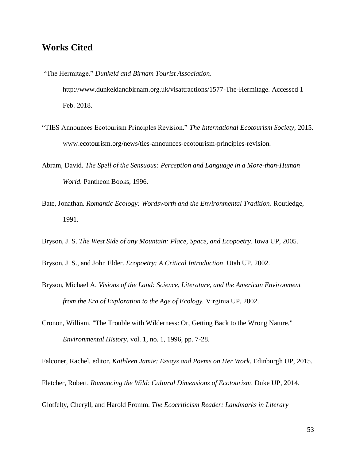### **Works Cited**

- "The Hermitage." *Dunkeld and Birnam Tourist Association*. http://www.dunkeldandbirnam.org.uk/visattractions/1577-The-Hermitage. Accessed 1 Feb. 2018.
- "TIES Announces Ecotourism Principles Revision." *The International Ecotourism Society*, 2015. www.ecotourism.org/news/ties-announces-ecotourism-principles-revision.
- Abram, David. *The Spell of the Sensuous: Perception and Language in a More-than-Human World*. Pantheon Books, 1996.
- Bate, Jonathan. *Romantic Ecology: Wordsworth and the Environmental Tradition*. Routledge, 1991.
- Bryson, J. S. *The West Side of any Mountain: Place, Space, and Ecopoetry*. Iowa UP, 2005.
- Bryson, J. S., and John Elder. *Ecopoetry: A Critical Introduction*. Utah UP, 2002.
- Bryson, Michael A. *Visions of the Land: Science, Literature, and the American Environment from the Era of Exploration to the Age of Ecology.* Virginia UP, 2002.
- Cronon, William. "The Trouble with Wilderness: Or, Getting Back to the Wrong Nature." *Environmental History*, vol. 1, no. 1, 1996, pp. 7-28.

Falconer, Rachel, editor. *Kathleen Jamie: Essays and Poems on Her Work*. Edinburgh UP, 2015.

Fletcher, Robert. *Romancing the Wild: Cultural Dimensions of Ecotourism*. Duke UP, 2014.

Glotfelty, Cheryll, and Harold Fromm. *The Ecocriticism Reader: Landmarks in Literary*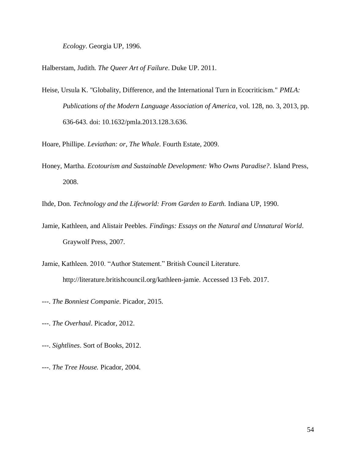*Ecology*. Georgia UP, 1996.

Halberstam, Judith. *The Queer Art of Failure*. Duke UP. 2011.

- Heise, Ursula K. "Globality, Difference, and the International Turn in Ecocriticism." *PMLA: Publications of the Modern Language Association of America,* vol. 128, no. 3, 2013, pp. 636-643. doi: 10.1632/pmla.2013.128.3.636.
- Hoare, Phillipe. *Leviathan: or, The Whale*. Fourth Estate, 2009.
- Honey, Martha. *Ecotourism and Sustainable Development: Who Owns Paradise?*. Island Press, 2008.

Ihde, Don. *Technology and the Lifeworld: From Garden to Earth.* Indiana UP, 1990.

- Jamie, Kathleen, and Alistair Peebles. *Findings: Essays on the Natural and Unnatural World*. Graywolf Press, 2007.
- Jamie, Kathleen. 2010. "Author Statement." British Council Literature. http://literature.britishcouncil.org/kathleen-jamie. Accessed 13 Feb. 2017.
- ---. *The Bonniest Companie*. Picador, 2015.
- ---. *The Overhaul*. Picador, 2012.
- ---. *Sightlines*. Sort of Books, 2012.
- ---. *The Tree House.* Picador, 2004.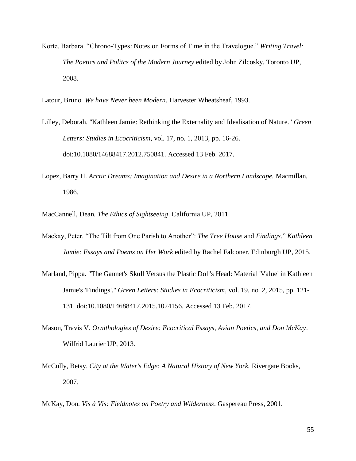Korte, Barbara. "Chrono-Types: Notes on Forms of Time in the Travelogue." *Writing Travel: The Poetics and Politcs of the Modern Journey* edited by John Zilcosky. Toronto UP, 2008.

Latour, Bruno. *We have Never been Modern*. Harvester Wheatsheaf, 1993.

- Lilley, Deborah. "Kathleen Jamie: Rethinking the Externality and Idealisation of Nature." *Green Letters: Studies in Ecocriticism*, vol. 17, no. 1, 2013, pp. 16-26. doi:10.1080/14688417.2012.750841. Accessed 13 Feb. 2017.
- Lopez, Barry H. *Arctic Dreams: Imagination and Desire in a Northern Landscape.* Macmillan, 1986.

MacCannell, Dean. *The Ethics of Sightseeing*. California UP, 2011.

- Mackay, Peter. "The Tilt from One Parish to Another": *The Tree House* and *Findings*." *Kathleen Jamie: Essays and Poems on Her Work* edited by Rachel Falconer. Edinburgh UP, 2015.
- Marland, Pippa. "The Gannet's Skull Versus the Plastic Doll's Head: Material 'Value' in Kathleen Jamie's 'Findings'." *Green Letters: Studies in Ecocriticism*, vol. 19, no. 2, 2015, pp. 121- 131. doi:10.1080/14688417.2015.1024156. Accessed 13 Feb. 2017.
- Mason, Travis V. *Ornithologies of Desire: Ecocritical Essays, Avian Poetics, and Don McKay*. Wilfrid Laurier UP, 2013.
- McCully, Betsy. *City at the Water's Edge: A Natural History of New York.* Rivergate Books, 2007.

McKay, Don. *Vis à Vis: Fieldnotes on Poetry and Wilderness*. Gaspereau Press, 2001.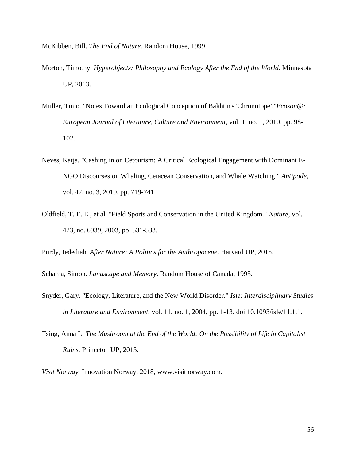McKibben, Bill. *The End of Nature.* Random House, 1999.

- Morton, Timothy. *Hyperobjects: Philosophy and Ecology After the End of the World.* Minnesota UP, 2013.
- Müller, Timo. "Notes Toward an Ecological Conception of Bakhtin's 'Chronotope'."*Ecozon@: European Journal of Literature, Culture and Environment*, vol. 1, no. 1, 2010, pp. 98- 102.
- Neves, Katja. "Cashing in on Cetourism: A Critical Ecological Engagement with Dominant E-NGO Discourses on Whaling, Cetacean Conservation, and Whale Watching." *Antipode*, vol. 42, no. 3, 2010, pp. 719-741.
- Oldfield, T. E. E., et al. "Field Sports and Conservation in the United Kingdom." *Nature*, vol. 423, no. 6939, 2003, pp. 531-533.

Purdy, Jedediah. *After Nature: A Politics for the Anthropocene*. Harvard UP, 2015.

Schama, Simon. *Landscape and Memory*. Random House of Canada, 1995.

- Snyder, Gary. "Ecology, Literature, and the New World Disorder." *Isle: Interdisciplinary Studies in Literature and Environment*, vol. 11, no. 1, 2004, pp. 1-13. doi:10.1093/isle/11.1.1.
- Tsing, Anna L. *The Mushroom at the End of the World: On the Possibility of Life in Capitalist Ruins.* Princeton UP, 2015.

*Visit Norway.* Innovation Norway, 2018, www.visitnorway.com.